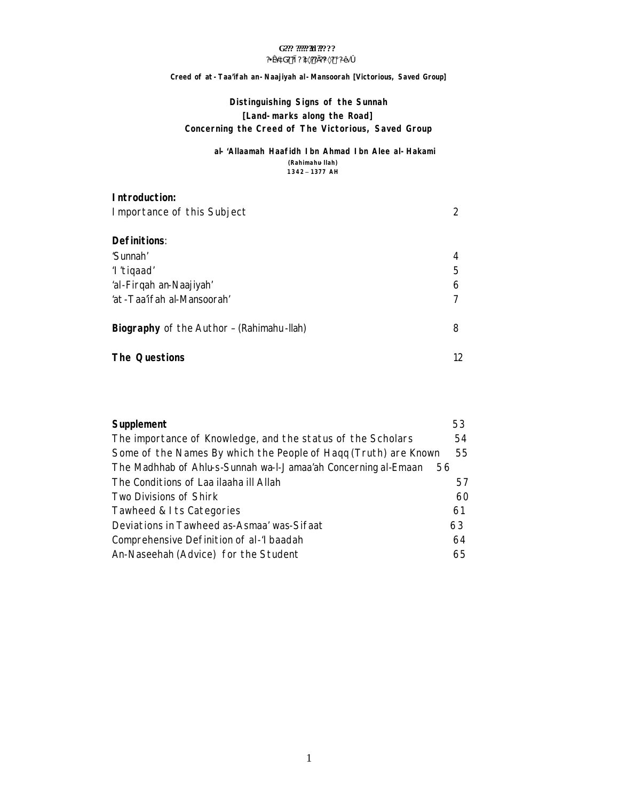# G??? ??????!! ?????

#### ?¥æ´àG? ?ì ? ?à×?? Ì?¼×? ¡ ?Ð∙Ă Ó

#### Creed of at - Taa'ifah an - Naajiyah al - Mansoorah [Victorious, Saved Group]

# Distinguishing Signs of the Sunnah [Land-marks along the Road] Concerning the Creed of The Victorious, Saved Group

#### al-'Allaamah Haafidh Ibn Ahmad Ibn Alee al-Hakami (Rahimahu-Ilah) 1342 - 1377 AH

| Introduction:                             |    |
|-------------------------------------------|----|
| Importance of this Subject                | 2  |
| <b>Definitions:</b>                       |    |
| 'Sunnah'                                  | 4  |
| 'I'tiqaad'                                | 5  |
| 'al-Firqah an-Naajiyah'                   | 6  |
| 'at -Taa'ifah al-Mansoorah'               |    |
| Biography of the Author - (Rahimahu-Ilah) | 8  |
| <b>The Questions</b>                      | 12 |

| Supplement                                                      | 53 |
|-----------------------------------------------------------------|----|
| The importance of Knowledge, and the status of the Scholars     | 54 |
| Some of the Names By which the People of Hagg (Truth) are Known | 55 |
| The Madhhab of Ahlu-s-Sunnah wa-l-Jamaa'ah Concerning al-Emaan  | 56 |
| The Conditions of Laa ilaaha ill Allah                          | 57 |
| Two Divisions of Shirk                                          | 60 |
| Tawheed & I ts Categories                                       | 61 |
| Deviations in Tawheed as-Asmaa' was-Sifaat                      | 63 |
| Comprehensive Definition of al-'I baadah                        | 64 |
| An-Naseehah (Advice) for the Student                            | 65 |
|                                                                 |    |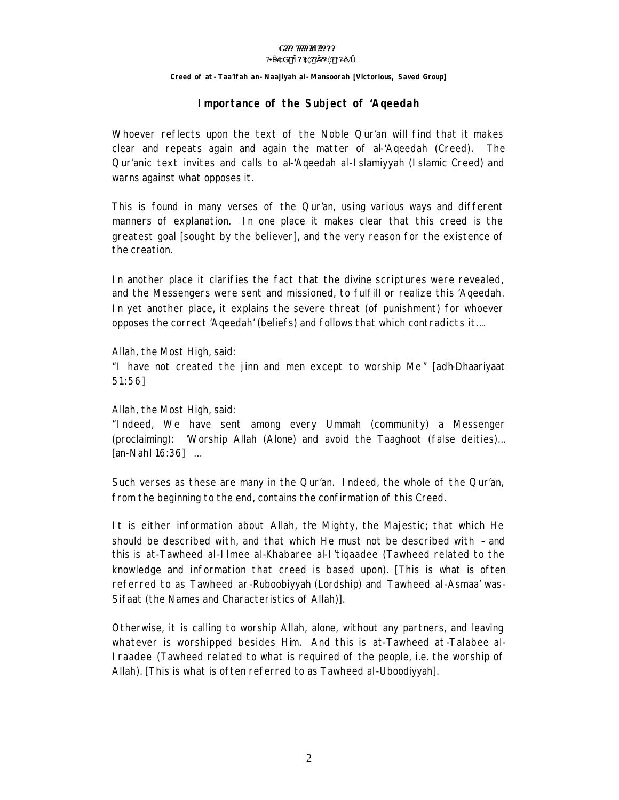#### G??? ?????**?!** ?????? **?¥æ´àG? ?ì? ?à×??Ì??¼×? ¡ ?ЕÃ ó**

#### **Creed of** *at-Taa'ifah an-Naajiyah al-Mansoorah* **[Victorious, Saved Group]**

### **Importance of the Subject of '***Aqeedah*

Whoever reflects upon the text of the Noble Qur'an will find that it makes clear and repeats again and again the matter of al-'Aqeedah (Creed). The Qur'anic text invites and calls to al-'Aqeedah al-Islamiyyah (Islamic Creed) and warns against what opposes it.

This is found in many verses of the Qur'an, using various ways and different manners of explanation. In one place it makes clear that this creed is the greatest goal [sought by the believer], and the very reason for the existence of the creation.

In another place it clarifies the fact that the divine scriptures were revealed, and the Messengers were sent and missioned, to fulfill or realize this 'Aqeedah. In yet another place, it explains the severe threat (of punishment) for whoever opposes the correct 'Aqeedah' (beliefs) and follows that which contradicts it….

Allah, the Most High, said:

"*I have not created the jinn and men except to worship Me*" [adh-Dhaariyaat 51:56]

Allah, the Most High, said:

"*Indeed, We have sent among every Ummah (community) a Messenger (proclaiming): 'Worship Allah (Alone) and avoid the Taaghoot (false deities)…* [an-Nahl 16:36] …

Such verses as these are many in the Qur'an. Indeed, the whole of the Qur'an, from the beginning to the end, contains the confirmation of this Creed.

It is either information about Allah, the Mighty, the Majestic; that which He should be described with, and that which He must not be described with – and this is *at-Tawheed al-Ilmee al-Khabaree al-I'tiqaadee* (Tawheed related to the knowledge and information that creed is based upon). [This is what is often referred to as *Tawheed ar-Ruboobiyyah* (Lordship) and *Tawheed al-Asmaa' was-Sifaat* (the Names and Characteristics of Allah)].

Otherwise, it is calling to worship Allah, alone, without any partners, and leaving whatever is worshipped besides Him. And this is *at-Tawheed at -Talabee al-Iraadee* (Tawheed related to what is required of the people, i.e. the worship of Allah). [This is what is often referred to as *Tawheed al-Uboodiyyah*].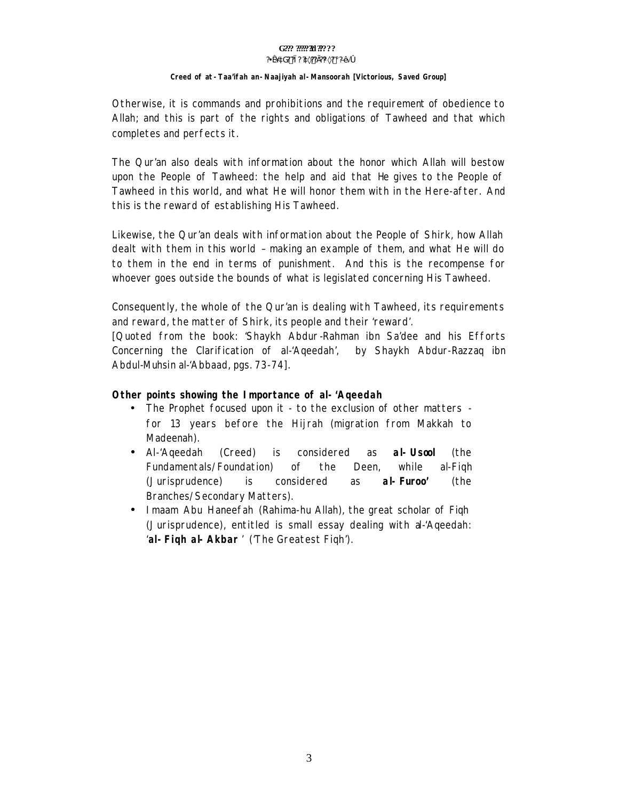#### G??? ????? 31 ?????  $?4x$  aG? ?i?  $x$ <sub>2</sub>??  $?W \times ?$  i  $D \times 10$

#### Creed of at - Taa'ifah an - Naajiyah al - Mansoorah [Victorious, Saved Group]

Otherwise, it is commands and prohibitions and the requirement of obedience to Allah; and this is part of the rights and obligations of Tawheed and that which completes and perfects it.

The Qur'an also deals with information about the honor which Allah will bestow upon the People of Tawheed: the help and aid that He gives to the People of Tawheed in this world, and what He will honor them with in the Here-after. And this is the reward of establishing His Tawheed.

Likewise, the Qur'an deals with information about the People of Shirk, how Allah dealt with them in this world - making an example of them, and what He will do to them in the end in terms of punishment. And this is the recompense for whoever goes outside the bounds of what is legislated concerning His Tawheed.

Consequently, the whole of the Qur'an is dealing with Tawheed, its requirements and reward, the matter of Shirk, its people and their 'reward'.

[Quoted from the book: 'Shaykh Abdur-Rahman ibn Sa'dee and his Efforts Concerning the Clarification of al-'Ageedah', by Shaykh Abdur-Razzag ibn Abdul-Muhsin al-'Abbaad, pgs. 73-74].

#### Other points showing the Importance of al-'Ageedah

- The Prophet focused upon it to the exclusion of other matters for 13 years before the Hijrah (migration from Makkah to Madeenah).
- considered al-Uscol  $\bullet$  Al-'Ageedah (Creed) is. as (the Fundamentals/Foundation) <sub>of</sub> the Deen. while al-Figh considered al-Furoo' (Jurisprudence) is. as (the Branches/Secondary Matters).
- I maam Abu Haneefah (Rahima-hu Allah), the great scholar of Figh (Jurisprudence), entitled is small essay dealing with a-Ageedah: 'al-Figh al-Akbar' ('The Greatest Figh').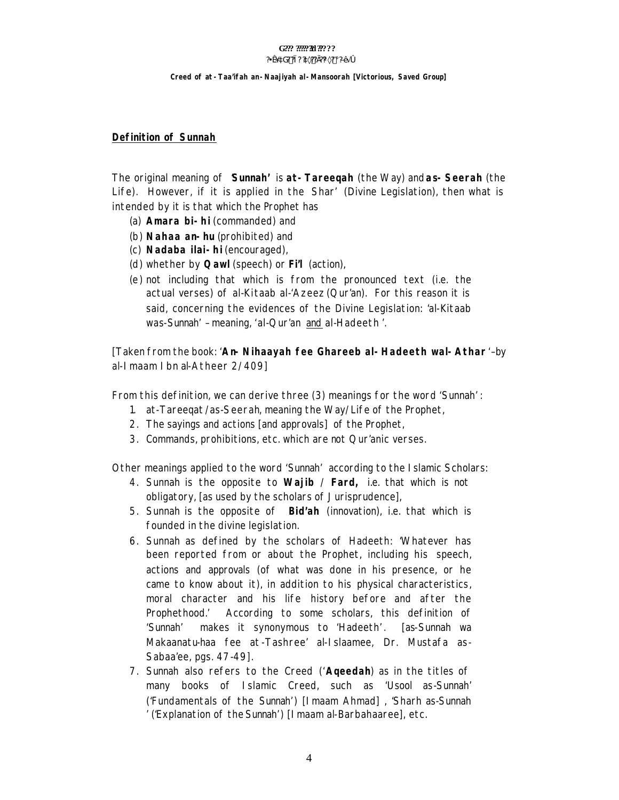#### G??? ?????**?!** ?????? **?¥æ´àG? ?ì? ?à×??Ì??¼×? ¡ ?ЕÃ ó**

# **Creed of** *at-Taa'ifah an-Naajiyah al-Mansoorah* **[Victorious, Saved Group]**

#### **Definition of** *Sunnah*

The original meaning of '*Sunnah'* is *at-Tareeqah* (the Way) and *as-Seerah* (the Life). However, if it is applied in the *Shar'* (Divine Legislation), then what is intended by it is that which the Prophet has

- (a) *Amara bi-hi* (commanded) and
- (b) *Nahaa an-hu (*prohibited) and
- (c) *Nadaba ilai-hi* (encouraged),
- (d) whether by *Qawl* (speech) or *Fi'l* (action),
- (e) not including that which is from the pronounced text (i.e. the actual verses) of *al-Kitaab al-'Azeez* (Qur'an). For this reason it is said, concerning the evidences of the Divine Legislation: '*al-Kitaab was-Sunnah'* – meaning, '*al-Qur'an* and *al-Hadeeth* '*.*

[Taken from the book: '*An-Nihaayah fee Ghareeb al-Hadeeth wal-Athar* ' – by al-Imaam Ibn al-Atheer 2/409]

From this definition, we can derive three (3) meanings for the word '*Sunnah' :*

- 1. *at-Tareeqat*/*as-Seerah*, meaning the Way/Life of the Prophet,
- 2. The sayings and actions [and approvals] of the Prophet,
- 3. Commands, prohibitions, etc. which are not Qur'anic verses.

Other meanings applied to the word '*Sunnah'* according to the Islamic Scholars:

- 4. *Sunnah* is the opposite to *Wajib* / *Fard,* i.e. that which is not obligatory, [as used by the scholars of Jurisprudence],
- 5. *Sunnah* is the opposite of *Bid'ah* (innovation), i.e. that which is founded in the divine legislation.
- 6. *Sunnah* as defined by the scholars of Hadeeth: 'Whatever has been reported from or about the Prophet, including his *speech*, *actions* and *approvals* (of what was done in his presence, or he came to know about it), in addition to his *physical characteristics*, *moral character* and his *life history* before and after the Prophethood.' According to some scholars, this definition of '*Sunnah'* makes it synonymous to '*Hadeeth'* . [as-Sunnah wa Makaanatu-haa fee at-Tashree' al-Islaamee, Dr. Mustafa as-Sabaa'ee, pgs. 47-49].
- 7. *Sunnah* also refers to the Creed ('*Aqeedah*) as in the titles of many books of Islamic Creed, such as '*Usool as-Sunnah'* ('Fundamentals of the *Sunnah'*) [Imaam Ahmad] , '*Sharh as-Sunnah*  ' ('Explanation of the *Sunnah'*) [Imaam al-Barbahaaree], etc.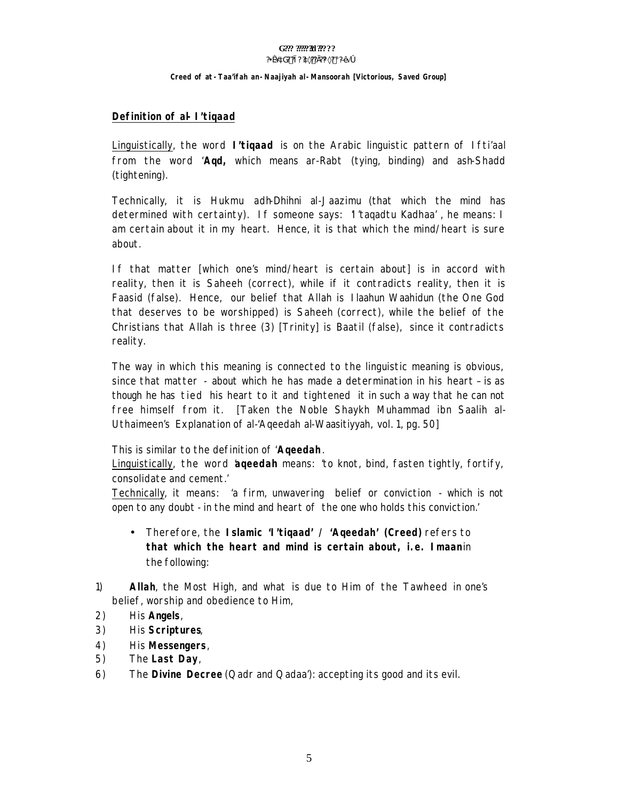#### **Creed of** *at-Taa'ifah an-Naajiyah al-Mansoorah* **[Victorious, Saved Group]**

### **Definition of al-I'tiqaad**

Linguistically, the word *I'tiqaad* is on the Arabic linguistic pattern of *Ifti'aal* from the word *'Aqd,* which means *ar-Rabt* (tying, binding) and *ash-Shadd* (tightening).

Technically, it is *Hukmu adh-Dhihni al-Jaazimu* (that which the mind has determined with certainty). If someone says: '*I'taqadtu Kadhaa'* , he means: I am *certain* about it in my *heart*. Hence, it is that which the mind/heart is sure about.

If that matter [which one's mind/heart is certain about] is in accord with reality, then it is *Saheeh* (correct), while if it contradicts reality, then it is *Faasid* (false). Hence, our belief that Allah is *Ilaahun Waahidun* (the One God that deserves to be worshipped) is *Saheeh* (correct), while the belief of the Christians that Allah is three (3) [Trinity] is *Baatil* (false), since it contradicts reality.

The way in which this meaning is connected to the linguistic meaning is obvious, since that matter - about which he has made a determination in his *heart* – is as though he has *tied* his heart to it and *tightened* it in such a way that he can not free himself from it. [Taken the Noble Shaykh Muhammad ibn Saalih al-Uthaimeen's Explanation of al-'Aqeedah al-Waasitiyyah, vol. 1, pg. 50]

This is similar to the definition of *'Aqeedah.* 

Linguistically, the word '*aqeedah* means: *'to knot, bind, fasten tightly, fortify, consolidate and cement.'* 

Technically, it means: *'a firm, unwavering belief or conviction - which is not open to any doubt - in the mind and heart of the one who holds this conviction.'*

- Therefore, the **Islamic 'I'tiqaad' / 'Aqeedah' (Creed)** refers to *that which the heart and mind is certain about, i.e. Imaanin* the following:
- 1) *Allah*, the Most High, and what is due to Him of the *Tawheed* in one's belief, worship and obedience to Him,
- 2) His *Angels*,
- 3) His *Scriptures*,
- 4) His *Messengers*,
- 5) The *Last Day*,
- 6) The *Divine Decree* (Qadr and Qadaa'): accepting its good and its evil.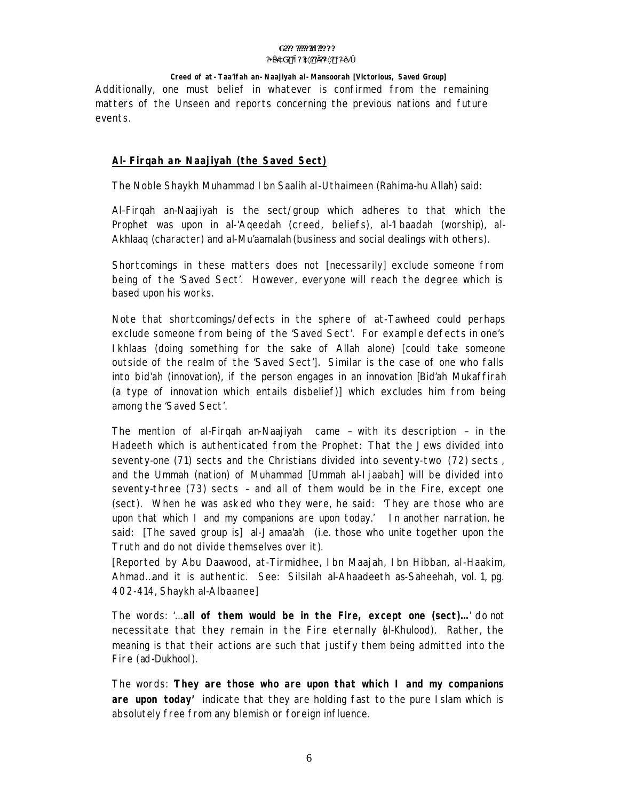#### G??? ?????**?!** ?????? **?¥æ´àG? ?ì? ?à×??Ì??¼×? ¡ ?ЕÃ ó**

#### **Creed of** *at-Taa'ifah an-Naajiyah al-Mansoorah* **[Victorious, Saved Group]**

Additionally, one must belief in whatever is confirmed from the remaining matters of the Unseen and reports concerning the previous nations and future events.

#### **Al-Firqah an-Naajiyah (the Saved Sect)**

The Noble Shaykh Muhammad Ibn Saalih al-Uthaimeen (Rahima-hu Allah) said:

*Al-Firqah an-Naajiyah* is the sect/group which adheres to that which the Prophet was upon in *al-'Aqeedah* (creed, beliefs), *al-'Ibaadah* (worship), *al-Akhlaaq* (character) and *al-Mu'aamalah* (business and social dealings with others).

Shortcomings in these matters does not [necessarily] exclude someone from being of the 'Saved Sect'. However, everyone will reach the degree which is based upon his works.

Note that shortcomings/defects in the sphere of at-Tawheed could perhaps exclude someone from being of the 'Saved Sect'. For example defects in one's *Ikhlaas* (doing something for the sake of Allah alone) [could take someone outside of the realm of the 'Saved Sect']. Similar is the case of one who falls into *bid'ah* (innovation), if the person engages in an innovation [*Bid'ah Mukaffirah* (a type of innovation which entails disbelief)] which excludes him from being among the 'Saved Sect'.

The mention of *al-Firqah an-Naajiyah* came – with its description – in the Hadeeth which is authenticated from the Prophet: *That the Jews divided into seventy-one (71) sects and the Christians divided into seventy-two (72) sects , and the Ummah (nation) of Muhammad [Ummah al-Ijaabah] will be divided into seventy-three (73) sects – and all of them would be in the Fire, except one (sect). When he was asked who they were, he said: 'They are those who are upon that which I and my companions are upon today.'* In another narration, he said: [The saved group is] *al-Jamaa'ah* (i.e. those who unite together upon the Truth and do not divide themselves over it).

[Reported by Abu Daawood, at-Tirmidhee, Ibn Maajah, Ibn Hibban, al-Haakim, Ahmad…and it is authentic. See: *Silsilah al-Ahaadeeth as-Saheehah,* vol. 1, pg. 402-414, Shaykh al-Albaanee]

The words: '…*all of them would be in the Fire, except one (sect)…'* do not necessitate that they remain in the Fire eternally (*al-Khulood*). Rather, the meaning is that their actions are such that justify them being admitted into the Fire (*ad-Dukhool*).

The words: '*They are those who are upon that which I and my companions are upon today'* indicate that they are holding fast to the pure Islam which is absolutely free from any blemish or foreign influence.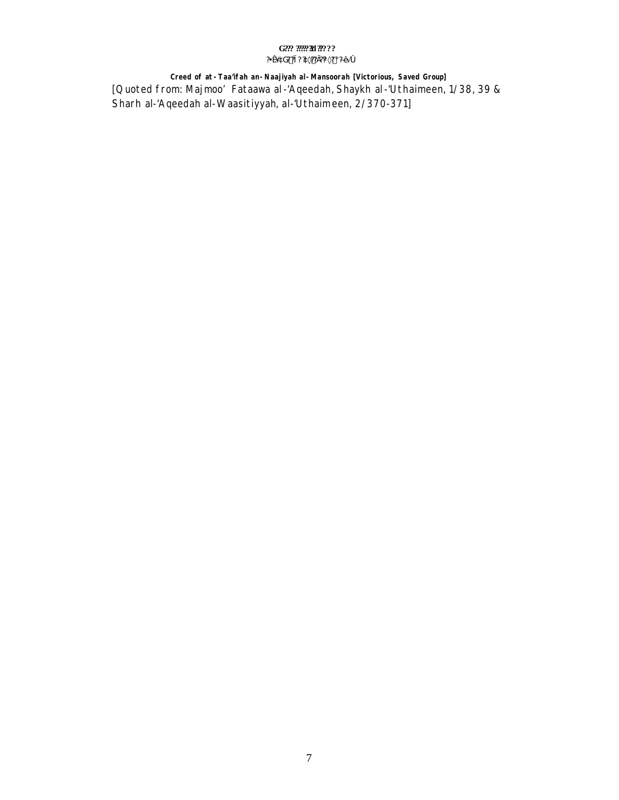#### $\mbox{G222}$   $\mbox{222}$   $\mbox{222}$   $\mbox{222}$  ? <br> : ? <br> <br> <br> : ?¥æ´àG? ?ì ? ?à×?? Ì?¼×? ¡ ?Ð∙Ă Ó

Creed of at -Taa'ifah an-Naajiyah al-Mansoorah [Victorious, Saved Group] [Quoted from: Majmoo' Fataawa al-'Aqeedah, Shaykh al-'Uthaimeen, 1/38, 39 & Sharh al-'Aqeedah al-Waasitiyyah, al-'Uthaimeen, 2/370-371]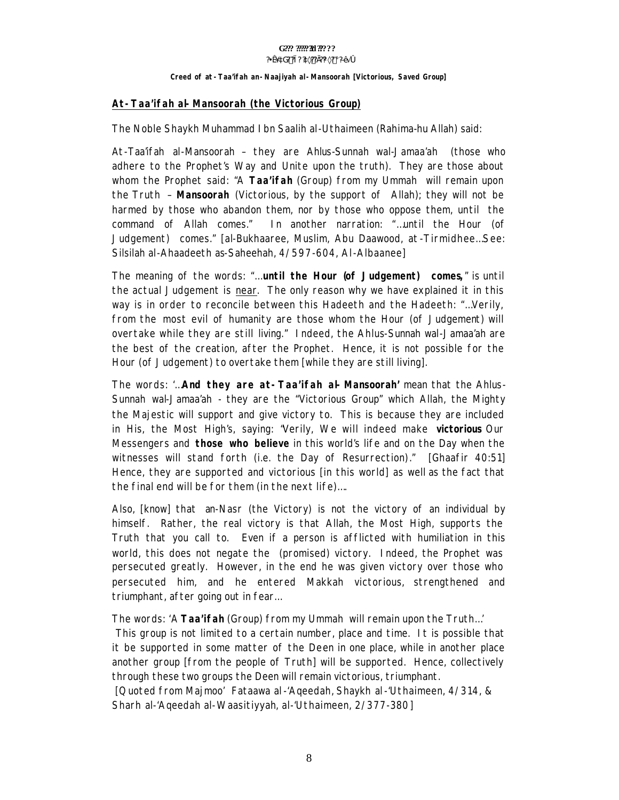#### Creed of at - Taa'ifah an - Naajiyah al - Mansoorah [Victorious, Saved Group]

#### At-Taa'ifah al-Mansoorah (the Victorious Group)

The Noble Shaykh Muhammad I bn Saalih al-Uthaimeen (Rahima-hu Allah) said:

At-Taa'ifah al-Mansoorah – they are Ahlus-Sunnah wal-Jamaa'ah (those who adhere to the Prophet's Way and Unite upon the truth). They are those about whom the Prophet said: "A Taa'ifah (Group) from my Ummah will remain upon the Truth - Mansoorah (Victorious, by the support of Allah); they will not be harmed by those who abandon them, nor by those who oppose them, until the command of Allah comes." In another narration: "...until the Hour (of Judgement) comes." [al-Bukhaaree, Muslim, Abu Daawood, at-Tirmidhee...See: Silsilah al-Ahaadeeth as-Saheehah, 4/597-604, Al-Albaanee]

The meaning of the words: "... until the Hour (of Judgement) comes," is until the actual Judgement is *near*. The only reason why we have explained it in this way is in order to reconcile between this Hadeeth and the Hadeeth: "...Verily, from the *most evil* of humanity are those whom the Hour (of Judgement) will overtake while they are still living." Indeed, the Ahlus-Sunnah wal-Jamaa'ah are the best of the creation, after the Prophet. Hence, it is not possible for the Hour (of Judgement) to overtake them [while they are still living].

The words: '... And they are at-Taa'ifah al-Mansoorah' mean that the Ahlus-Sunnah wal-Jamaa'ah - they are the "Victorious Group" which Allah, the Mighty the Majestic will support and give victory to. This is because they are included in His, the Most High's, saving: "Verily, We will indeed make victorious Our Messengers and **those who believe** in this world's life and on the Day when the witnesses will stand forth (i.e. the Day of Resurrection)." [Ghaafir 40:51] Hence, they are supported and victorious [in this world] as well as the fact that the final end will be for them (in the next life)....

Also, [know] that an-Nasr (the Victory) is not the victory of an individual by himself. Rather, the real victory is that Allah, the Most High, supports the Truth that you call to. Even if a person is afflicted with humiliation in this world, this does not negate the (promised) victory. Indeed, the Prophet was persecuted greatly. However, in the end he was given victory over those who persecuted him, and he entered Makkah victorious, strengthened and triumphant, after going out in fear...

#### The words: 'A Taa'ifah (Group) from my Ummah will remain upon the Truth...'

This group is not limited to a certain number, place and time. It is possible that it be supported in some matter of the Deen in one place, while in another place another group [from the people of Truth] will be supported. Hence, collectively through these two groups the Deen will remain victorious, triumphant.

[Quoted from Majmoo' Fataawa al-'Ageedah, Shaykh al-'Uthaimeen, 4/314, & Sharh al-'Aqeedah al-Waasitiyyah, al-'Uthaimeen, 2/377-380]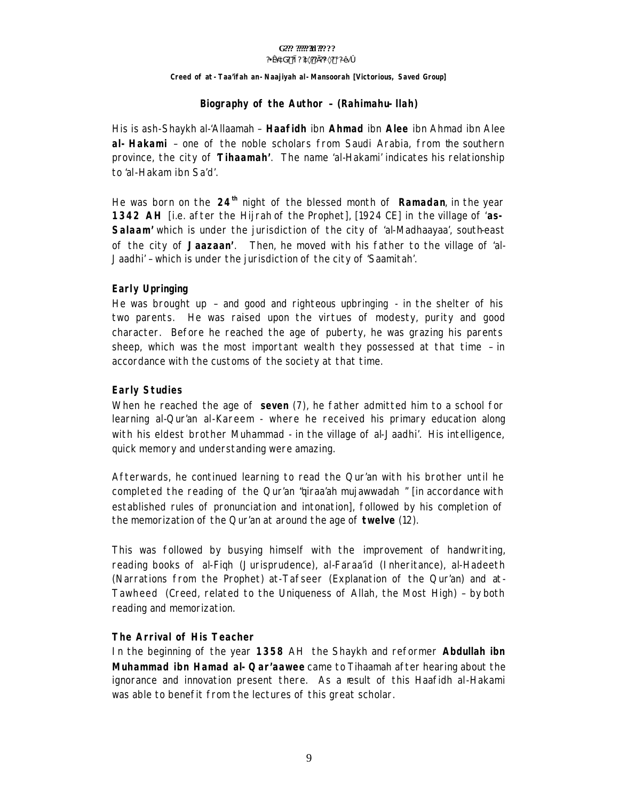#### G??? ?????**?!** ?????? **?¥æ´àG? ?ì? ?à×??Ì??¼×? ¡ ?ЕÃ ó**

#### **Creed of** *at-Taa'ifah an-Naajiyah al-Mansoorah* **[Victorious, Saved Group]**

#### **Biography of the Author – (Rahimahu-llah)**

His is ash-Shaykh al-'Allaamah – **Haafidh** ibn **Ahmad** ibn **Alee** ibn Ahmad ibn Alee **al-Hakami** – one of the noble scholars from Saudi Arabia, from the southern province, the city of '**Tihaamah'**. The name 'al-Hakami' indicates his relationship to 'al-Hakam ibn Sa'd'.

He was born on the **24th** night of the blessed month of **Ramadan**, in the year **1342 AH** [i.e. after the *Hijrah* of the Prophet], [1924 CE] in the village of '**as-Salaam'** which is under the jurisdiction of the city of 'al-Madhaayaa', south-east of the city of '**Jaazaan'**. Then, he moved with his father to the village of 'al-Jaadhi' – which is under the jurisdiction of the city of 'Saamitah'.

### **Early Upringing**

He was brought up – and good and righteous upbringing - in the shelter of his two parents. He was raised upon the virtues of modesty, purity and good character. Before he reached the age of puberty, he was grazing his parents sheep, which was the most important wealth they possessed at that time – in accordance with the customs of the society at that time.

### **Early Studies**

When he reached the age of **seven** (7), he father admitted him to a school for learning al-Qur'an al-Kareem - where he received his primary education along with his eldest brother Muhammad - in the village of al-Jaadhi'. His intelligence, quick memory and understanding were amazing.

Afterwards, he continued learning to read the Qur'an with his brother until he completed the reading of the Qur'an "*qiraa'ah mujawwadah* " [in accordance with established rules of pronunciation and intonation], followed by his completion of the memorization of the Qur'an at around the age of **twelve** (12).

This was followed by busying himself with the improvement of handwriting, reading books of *al-Fiqh* (Jurisprudence)*, al-Faraa'id* (Inheritance)*, al-Hadeeth*  (Narrations from the Prophet) *at-Tafseer* (Explanation of the Qur'an) and *at-Tawheed* (Creed, related to the Uniqueness of Allah, the Most High) – by both reading and memorization.

#### **The Arrival of His Teacher**

In the beginning of the year **1358** AH the Shaykh and reformer **Abdullah ibn Muhammad ibn Hamad al-Qar'aawee** came to *Tihaamah* after hearing about the ignorance and innovation present there. As a result of this Haafidh al-Hakami was able to benefit from the lectures of this great scholar.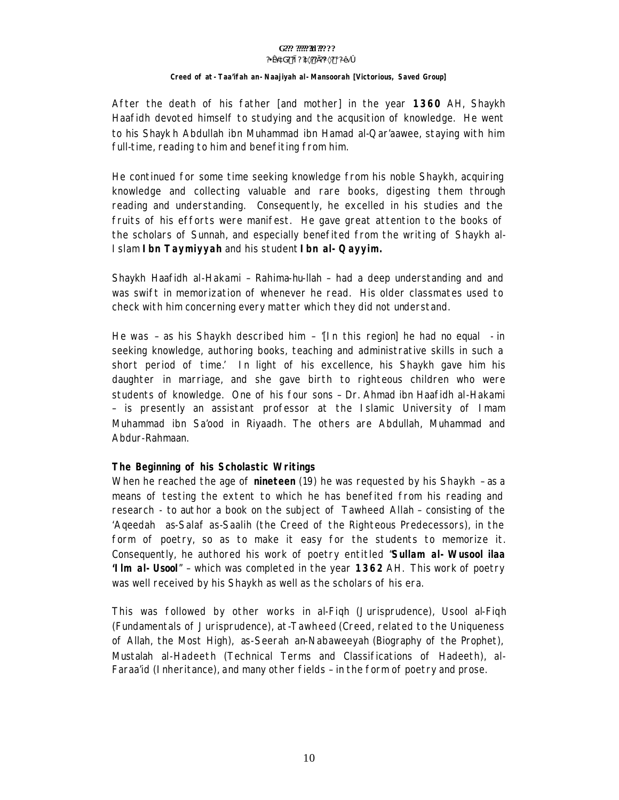#### G??? ?????**?!** ?????? **?¥æ´àG? ?ì? ?à×??Ì??¼×? ¡ ?ЕÃ ó**

#### **Creed of** *at-Taa'ifah an-Naajiyah al-Mansoorah* **[Victorious, Saved Group]**

After the death of his father [and mother] in the year **1360** AH, Shaykh Haafidh devoted himself to studying and the acqusition of knowledge. He went to his Shayk h Abdullah ibn Muhammad ibn Hamad al-Qar'aawee, staying with him full-time, reading to him and benefiting from him.

He continued for some time seeking knowledge from his noble Shaykh, acquiring knowledge and collecting valuable and rare books, digesting them through reading and understanding. Consequently, he excelled in his studies and the fruits of his efforts were manifest. He gave great attention to the books of the scholars of Sunnah, and especially benefited from the writing of Shaykh al-Islam **Ibn Taymiyyah** and his student **Ibn al-Qayyim.**

Shaykh Haafidh al-Hakami – Rahima-hu-llah – had a deep understanding and and was swift in memorization of whenever he read. His older classmates used to check with him concerning every matter which they did not understand.

He was – as his Shaykh described him – '[*In this region*] *he had no equal - in seeking knowledge, authoring books, teaching and administrative skills in such a short period of time.*' In light of his excellence, his Shaykh gave him his daughter in marriage, and she gave birth to righteous children who were students of knowledge. One of his four sons – Dr. Ahmad ibn Haafidh al-Hakami – is presently an assistant professor at the Islamic University of Imam Muhammad ibn Sa'ood in Riyaadh. The others are Abdullah, Muhammad and Abdur-Rahmaan.

#### **The Beginning of his Scholastic Writings**

When he reached the age of **nineteen** (19) he was requested by his Shaykh – as a means of testing the extent to which he has benefited from his reading and research - to author a book on the subject of *Tawheed Allah* – consisting of the '*Aqeedah as-Salaf as-Saalih* (the Creed of the Righteous Predecessors), in the form of poetry, so as to make it easy for the students to memorize it. Consequently, he authored his work of poetry entitled "**Sullam al-Wusool ilaa 'Ilm al-Usool**" – which was completed in the year **1362** AH. This work of poetry was well received by his Shaykh as well as the scholars of his era.

This was followed by other works in *al-Fiqh* (Jurisprudence), *Usool al-Fiqh* (Fundamentals of Jurisprudence), *at-Tawheed* (Creed, related to the Uniqueness of Allah, the Most High), *as-Seerah an-Nabaweeyah* (Biography of the Prophet), *Mustalah al-Hadeeth* (Technical Terms and Classifications of Hadeeth), *al-Faraa'id* (Inheritance), and many other fields – in the form of poetry and prose.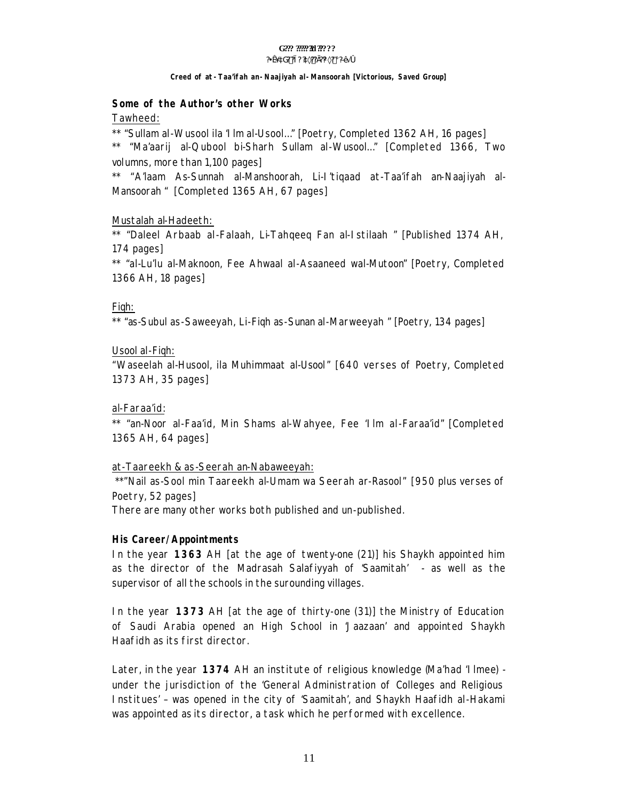# G??? ?????**?!** ??????

#### **?¥æ´àG? ?ì? ?à×??Ì??¼×? ¡ ?ЕÃ ó**

#### **Creed of** *at-Taa'ifah an-Naajiyah al-Mansoorah* **[Victorious, Saved Group]**

#### **Some of the Author's other Works**

Tawheed:

\*\* "*Sullam al-Wusool ila 'Ilm al-Usool…*" [Poetry, Completed 1362 AH, 16 pages]

\*\* "*Ma'aarij al-Qubool bi-Sharh Sullam al-Wusool…*" [Completed 1366, Two volumns, more than 1,100 pages]

\*\* "*A'laam As-Sunnah al-Manshoorah, Li-I'tiqaad at-Taa'ifah an-Naajiyah al-Mansoorah* " [Completed 1365 AH, 67 pages]

#### Mustalah al-Hadeeth:

\*\* "*Daleel Arbaab al-Falaah, Li-Tahqeeq Fan al-Istilaah* " [Published 1374 AH, 174 pages]

\*\* "*al-Lu'lu al-Maknoon, Fee Ahwaal al-Asaaneed wal-Mutoon*" [Poetry, Completed 1366 AH, 18 pages]

#### Fiqh:

\*\* "*as-Subul as-Saweeyah, Li-Fiqh as-Sunan al-Marweeyah* " [Poetry, 134 pages]

#### Usool al-Fiqh:

"*Waseelah al-Husool, ila Muhimmaat al-Usool*" [640 verses of Poetry, Completed 1373 AH, 35 pages]

#### al-Faraa'id:

\*\* "*an-Noor al-Faa'id, Min Shams al-Wahyee, Fee 'Ilm al-Faraa'id*" [Completed 1365 AH, 64 pages]

#### at-Taareekh & as-Seerah an-Nabaweeyah:

 \*\*"*Nail as-Sool min Taareekh al-Umam wa Seerah ar-Rasool*" [950 plus verses of Poetry, 52 pages]

There are many other works both published and un-published.

#### **His Career/Appointments**

In the year **1363** AH [at the age of twenty-one (21)] his Shaykh appointed him as the director of the *Madrasah Salafiyyah of 'Saamitah' -* as well as the supervisor of all the schools in the surounding villages.

In the year **1373** AH [at the age of thirty-one (31)] the Ministry of Education of Saudi Arabia opened an High School in 'Jaazaan' and appointed Shaykh Haafidh as its first director.

Later, in the year **1374** AH an institute of religious knowledge (*Ma'had 'Ilmee*) under the jurisdiction of the 'General Administration of Colleges and Religious Institues' – was opened in the city of 'Saamitah', and Shaykh Haafidh al-Hakami was appointed as its director, a task which he performed with excellence.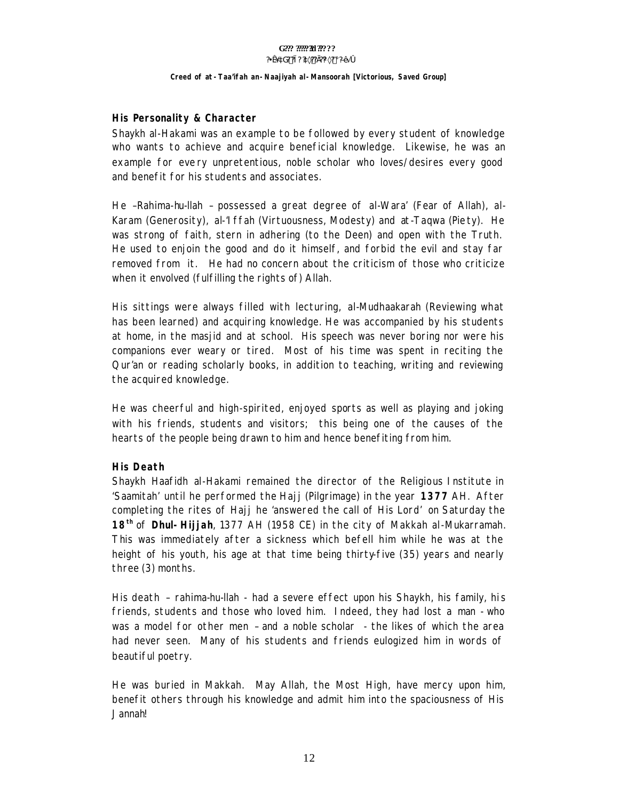#### G??? ?????**?!** ?????? **?¥æ´àG? ?ì? ?à×??Ì??¼×? ¡ ?ЕÃ ó**

#### **Creed of** *at-Taa'ifah an-Naajiyah al-Mansoorah* **[Victorious, Saved Group]**

#### **His Personality & Character**

Shaykh al-Hakami was an example to be followed by every student of knowledge who wants to achieve and acquire beneficial knowledge. Likewise, he was an example for every unpretentious, noble scholar who loves/desires every good and benefit for his students and associates.

He –Rahima-hu-llah – possessed a great degree of *al-Wara'* (Fear of Allah), *al-Karam* (Generosity), *al-'Iffah* (Virtuousness, Modesty) and *at-Taqwa* (Piety). He was strong of faith, stern in adhering (to the Deen) and open with the Truth. He used to enjoin the good and do it himself, and forbid the evil and stay far removed from it. He had no concern about the criticism of those who criticize when it envolved (fulfilling the rights of) Allah.

His sittings were always filled with lecturing, *al-Mudhaakarah* (Reviewing what has been learned) and acquiring knowledge. He was accompanied by his students at home, in the masjid and at school. His speech was never boring nor were his companions ever weary or tired. Most of his time was spent in reciting the Qur'an or reading scholarly books, in addition to teaching, writing and reviewing the acquired knowledge.

He was cheerful and high-spirited, enjoyed sports as well as playing and joking with his friends, students and visitors; this being one of the causes of the hearts of the people being drawn to him and hence benefiting from him.

#### **His Death**

Shaykh Haafidh al-Hakami remained the director of the Religious Institute in '*Saamitah'* until he performed the *Hajj* (Pilgrimage) in the year **1377** AH. After completing the rites of Hajj he '*answered the call of His Lord'* on Saturday the **18th** of **Dhul-Hijjah**, 1377 AH (1958 CE) in the city of Makkah al-Mukarramah. This was immediately after a sickness which befell him while he was at the height of his youth, his age at that time being thirty-five (35) years and nearly three (3) months.

His death – rahima-hu-llah - had a severe effect upon his Shaykh, his family, his friends, students and those who loved him. Indeed, they had lost a *man* - who was a model for other men – and *a noble scholar* - the likes of which the area had never seen. Many of his students and friends eulogized him in words of beautiful poetry.

He was buried in Makkah. May Allah, the Most High, have mercy upon him, benefit others through his knowledge and admit him into the spaciousness of His *Jannah*!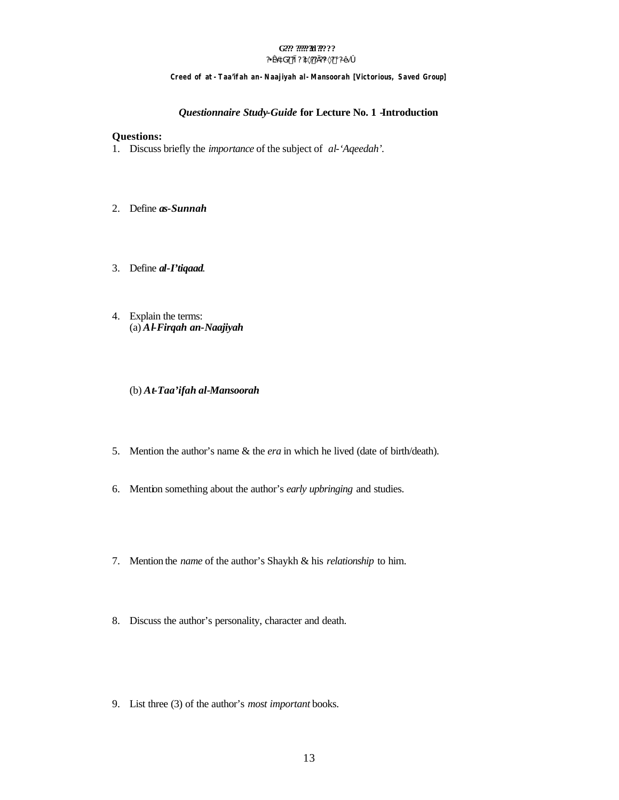# Creed of at - Taa'ifah an - Naajiyah al - Mansoorah [Victorious, Saved Group]

#### Questionnaire Study-Guide for Lecture No. 1 -Introduction

#### **Questions:**

- 1. Discuss briefly the *importance* of the subject of al-'Aqeedah'.
- 2. Define as-Sunnah
- 3. Define al-I'tiqaad.
- 4. Explain the terms:  $(a)$ Al-Firqah an-Naajiyah
	- (b) At-Taa'ifah al-Mansoorah
- 5. Mention the author's name & the era in which he lived (date of birth/death).
- 6. Mention something about the author's *early upbringing* and studies.
- 7. Mention the name of the author's Shaykh & his relationship to him.
- 8. Discuss the author's personality, character and death.
- 9. List three (3) of the author's *most important* books.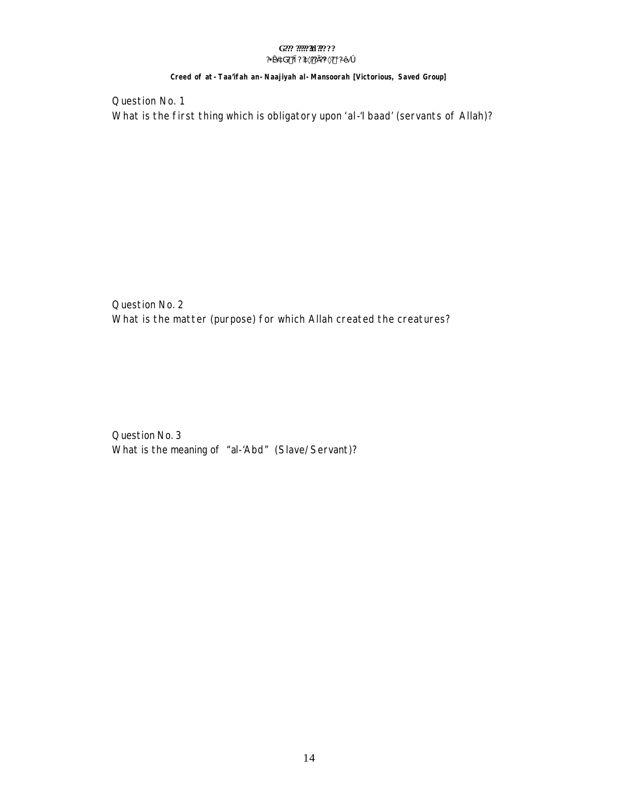#### G??? ????? 30???? ?¥æ´àG? ?ì ? ?à×?? Ì ?¼×? ¡ ?ЕÄ Ó

#### Creed of at - Taa'ifah an - Naajiyah al - Mansoorah [Victorious, Saved Group]

Question No. 1 What is the first thing which is obligatory upon 'al-'l baad' (servants of Allah)?

Question No. 2 What is the matter (purpose) for which Allah created the creatures?

Question No. 3 What is the meaning of "al-'Abd" (Slave/Servant)?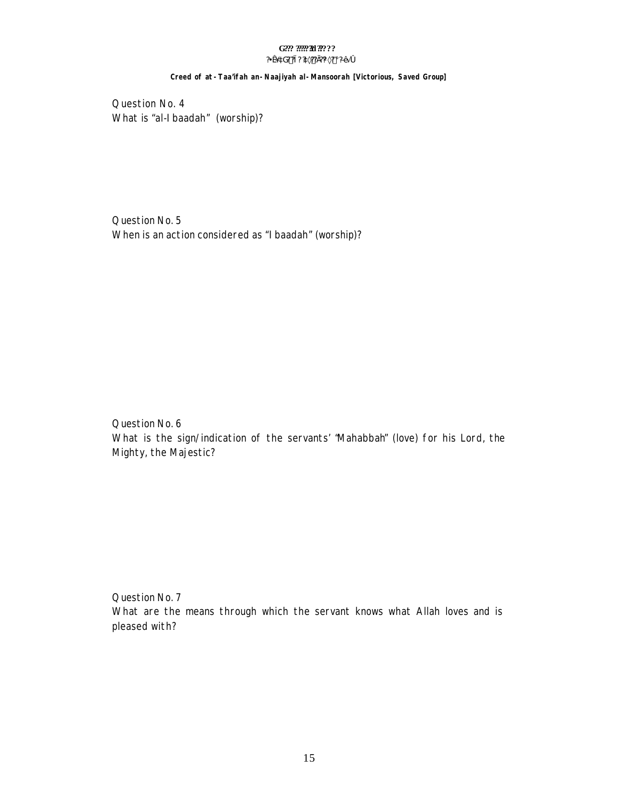#### G??? ????? 30???? ?¥æ´àG? ?ì ? ?à×?? Ì ?¼×? ¡ ?ЕÄ Ó

### Creed of at -Taa'ifah an-Naajiyah al-Mansoorah [Victorious, Saved Group]

Question No. 4 What is "al-I baadah" (worship)?

Question No. 5 When is an action considered as "I baadah" (worship)?

Question No. 6 What is the sign/indication of the servants' "Mahabbah" (love) for his Lord, the Mighty, the Majestic?

Question No. 7 What are the means through which the servant knows what Allah loves and is pleased with?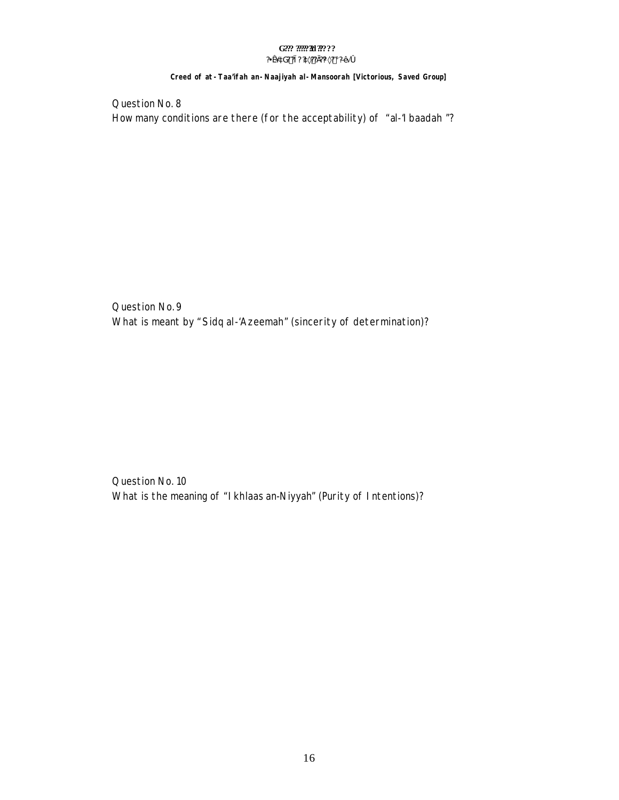#### G??? ????? 30???? ?¥æ´àG? ?ì ? ?à×?? Ì ?¼×? ¡ ?ЕĂ Ó

#### Creed of at - Taa'ifah an - Naajiyah al - Mansoorah [Victorious, Saved Group]

Question No. 8 How many conditions are there (for the acceptability) of "al-'l baadah"?

Question No. 9 What is meant by "Sidq al-'Azeemah" (sincerity of determination)?

Question No. 10 What is the meaning of "Ikhlaas an-Niyyah" (Purity of Intentions)?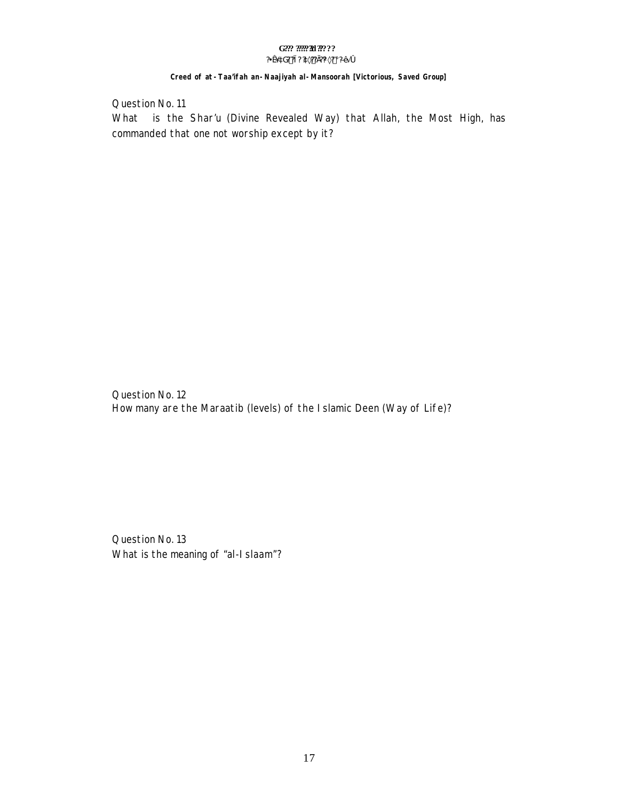#### G??? ????? 30???? ?¥æ´àG? ?ì ? ?à×?? Ì ?¼×? ¡ ?ЕĂ Ó

#### Creed of at - Taa'ifah an - Naajiyah al - Mansoorah [Victorious, Saved Group]

Question No. 11

What is the Shar'u (Divine Revealed Way) that Allah, the Most High, has commanded that one not worship except by it?

Question No. 12 How many are the Maraatib (levels) of the I slamic Deen (Way of Life)?

Question No. 13 What is the meaning of "al-I slaam"?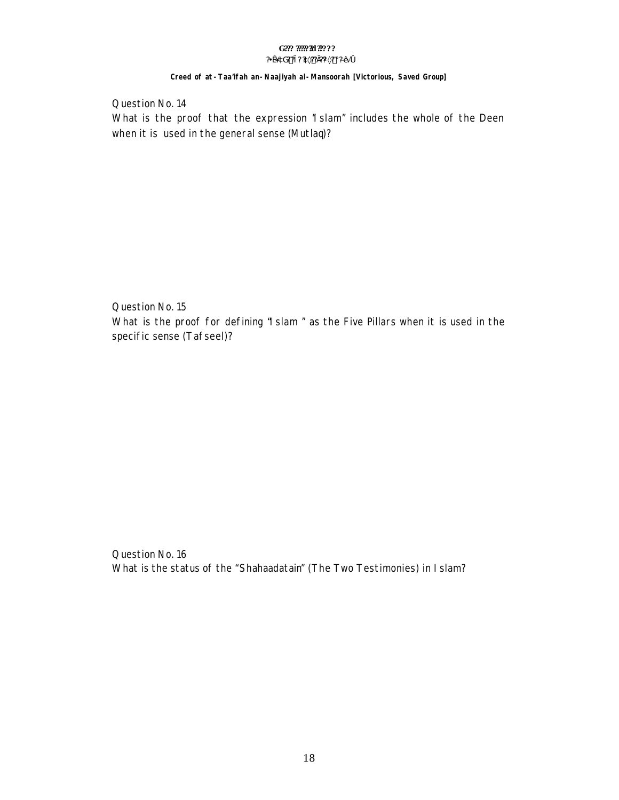# Creed of at -Taa'ifah an-Naajiyah al-Mansoorah [Victorious, Saved Group]

Question No. 14 What is the proof that the expression "I slam" includes the whole of the Deen when it is used in the general sense (Mutlaq)?

Question No. 15 What is the proof for defining "I slam" as the Five Pillars when it is used in the specific sense (Tafseel)?

Question No. 16 What is the status of the "Shahaadatain" (The Two Testimonies) in Islam?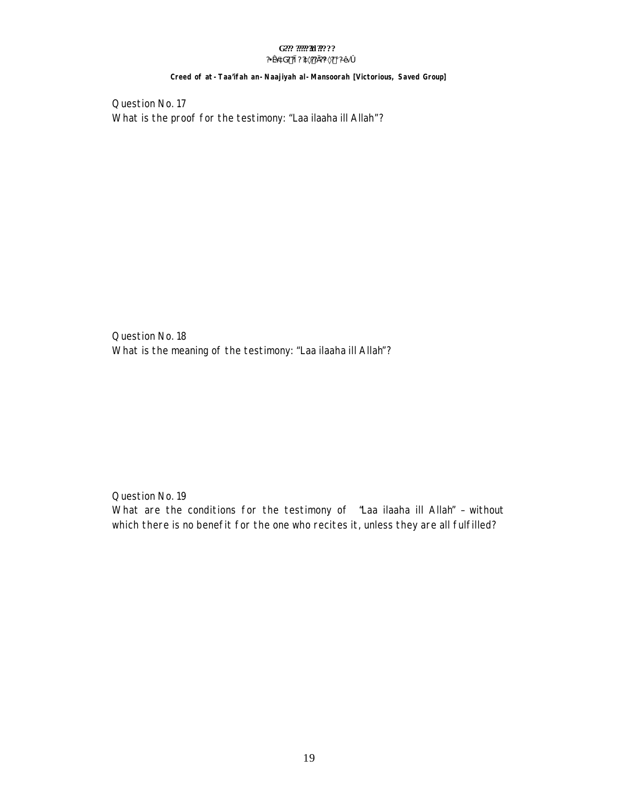#### Creed of at - Taa'ifah an - Naajiyah al - Mansoorah [Victorious, Saved Group]

Question No. 17 What is the proof for the testimony: "Laa ilaaha ill Allah"?

Question No. 18 What is the meaning of the testimony: "Laa ilaaha ill Allah"?

Question No. 19

What are the conditions for the testimony of "Laa ilaaha ill Allah" - without which there is no benefit for the one who recites it, unless they are all fulfilled?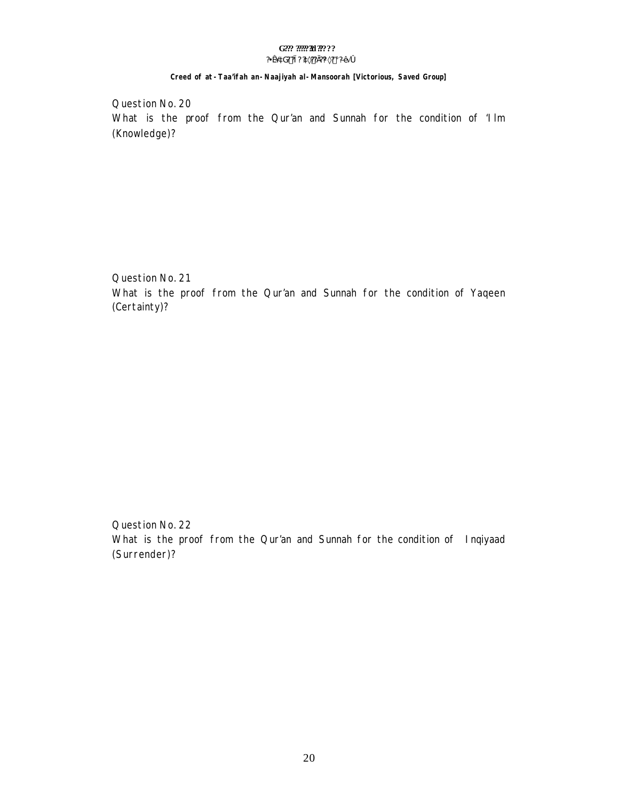Creed of at -Taa'ifah an-Naajiyah al-Mansoorah [Victorious, Saved Group]

Question No. 20 What is the proof from the Qur'an and Sunnah for the condition of 'llm (Knowledge)?

Question No. 21

What is the proof from the Qur'an and Sunnah for the condition of Yaqeen (Certainty)?

Question No. 22 What is the proof from the Qur'an and Sunnah for the condition of Inqiyaad (Surrender)?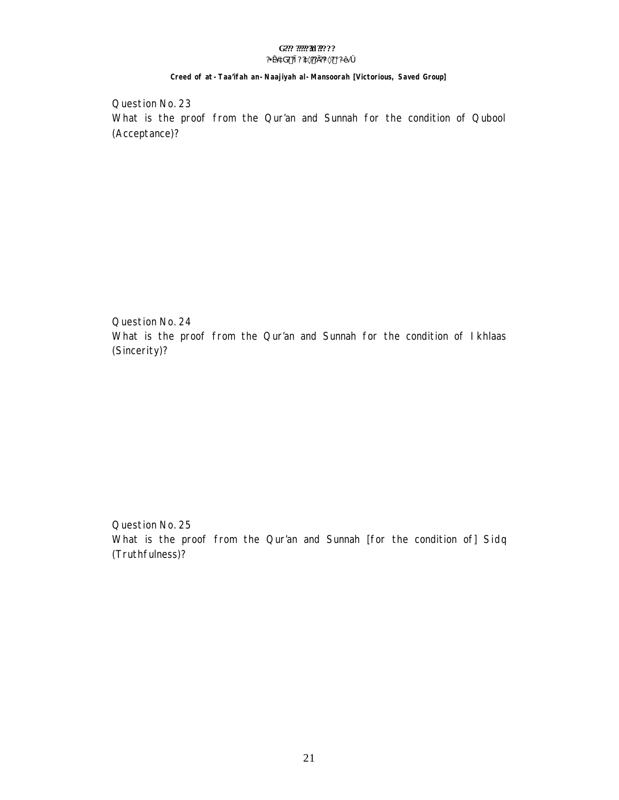#### G??? ????? 30???? ?¥æ´àG? ?ì ? ?à×?? Ì?¼×? ¡ ?Ð∙Ă Ó

### Creed of at -Taa'ifah an-Naajiyah al-Mansoorah [Victorious, Saved Group]

Question No. 23 What is the proof from the Qur'an and Sunnah for the condition of Qubool (Acceptance)?

Question No. 24 What is the proof from the Qur'an and Sunnah for the condition of Ikhlaas (Sincerity)?

Question No. 25 What is the proof from the Qur'an and Sunnah [for the condition of] Sidq (Truthfulness)?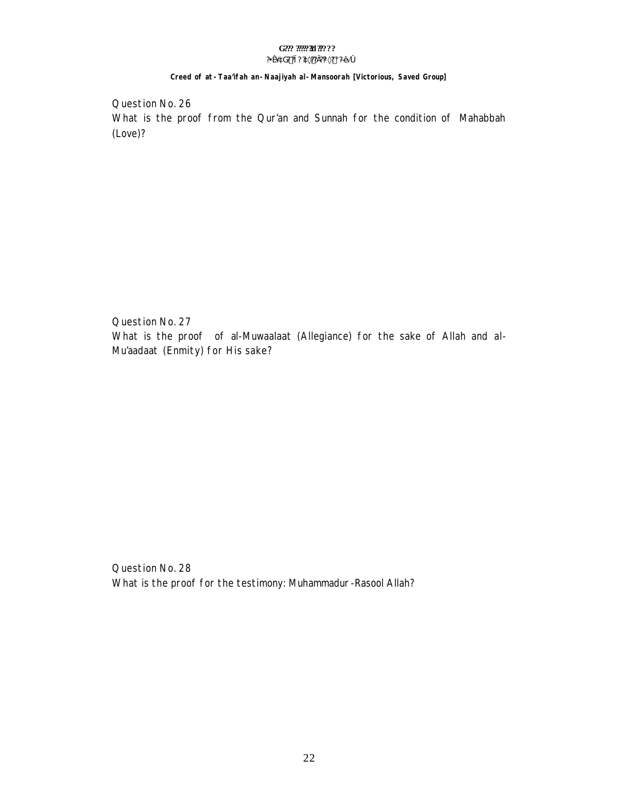#### G??? ????? 30???? ?¥æ´àG? ?ì ? ?à×?? Ì ?¼×? ¡ ?ЕÄ Ó

#### Creed of at - Taa'ifah an - Naajiyah al - Mansoorah [Victorious, Saved Group]

Question No. 26 What is the proof from the Qur'an and Sunnah for the condition of Mahabbah (Love)?

Question No. 27 What is the proof of al-Muwaalaat (Allegiance) for the sake of Allah and al-Mu'aadaat (Enmity) for His sake?

Question No. 28 What is the proof for the testimony: Muhammadur-Rasool Allah?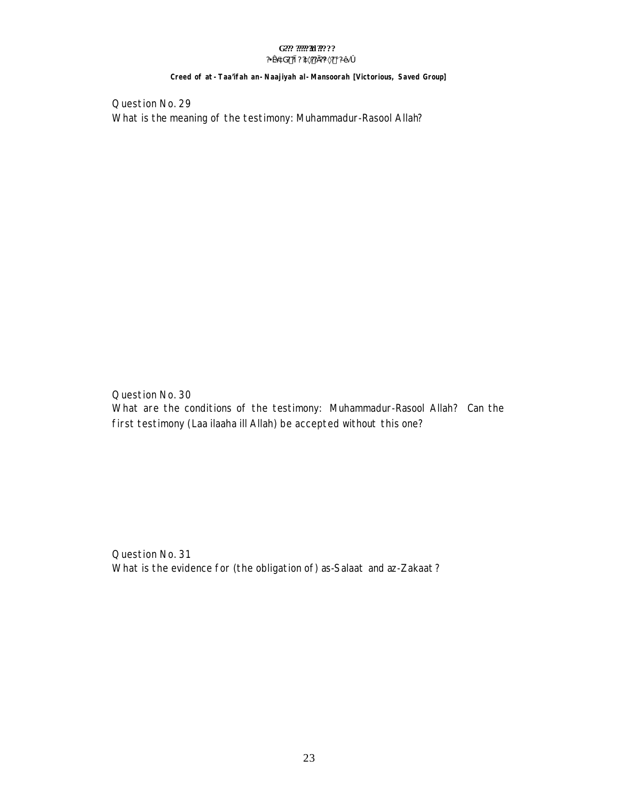Creed of at - Taa'ifah an - Naajiyah al - Mansoorah [Victorious, Saved Group]

Question No. 29 What is the meaning of the testimony: Muhammadur-Rasool Allah?

Question No. 30 What are the conditions of the testimony: Muhammadur-Rasool Allah? Can the first testimony (Laa ilaaha ill Allah) be accepted without this one?

Question No. 31 What is the evidence for (the obligation of) as-Salaat and az-Zakaat?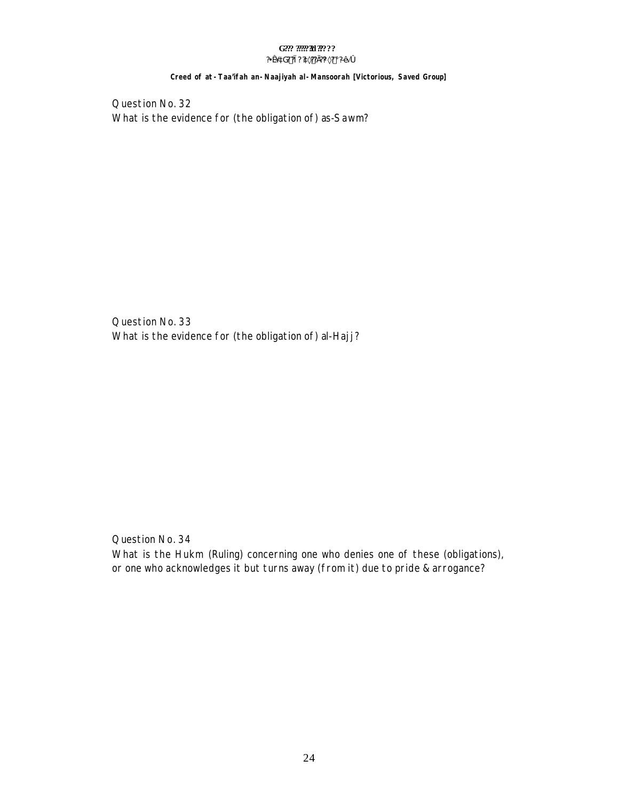#### G??? ????? 30???? ?¥æ´àG? ?ì ? ?à×?? Ì ?¼×? ¡ ?ЕÄ Ó

#### Creed of at - Taa'ifah an - Naajiyah al - Mansoorah [Victorious, Saved Group]

Question No. 32 What is the evidence for (the obligation of) as-Sawm?

Question No. 33 What is the evidence for (the obligation of) al-Hajj?

Question No. 34

What is the Hukm (Ruling) concerning one who denies one of these (obligations), or one who acknowledges it but turns away (from it) due to pride & arrogance?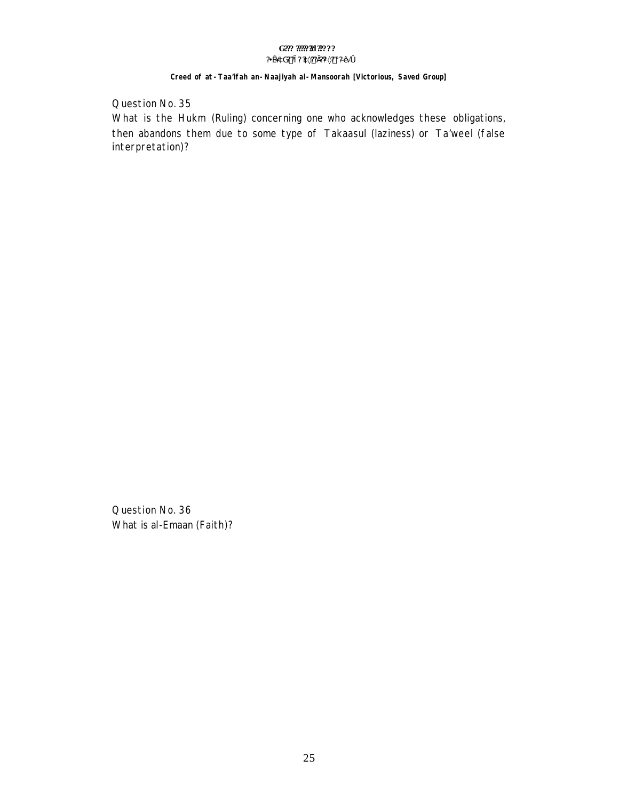# G??? ????? 30????

#### ?¥æ´àG? ?ì ? ?à×?? Ì ?¼×? ¡ ?ЕĂ Ó

#### Creed of at - Taa'ifah an - Naajiyah al - Mansoorah [Victorious, Saved Group]

Question No. 35

What is the Hukm (Ruling) concerning one who acknowledges these obligations, then abandons them due to some type of Takaasul (laziness) or Ta'weel (false interpretation)?

Question No. 36 What is al-Emaan (Faith)?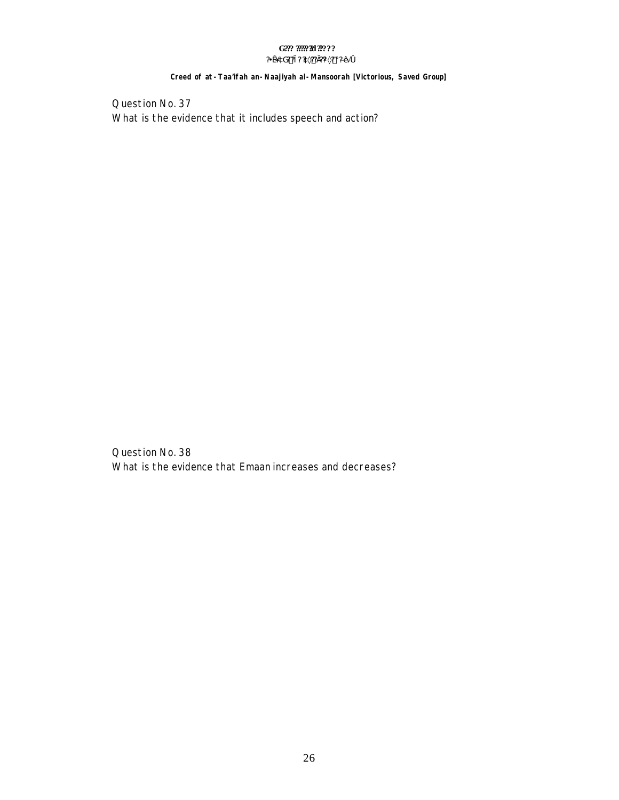#### G??? ??????!! ????? ?¥æ´àG? ?ì ? ?à×?? Ì ?¼×? ¡ ?ЕĂ Ó

#### Creed of at -Taa'ifah an-Naajiyah al-Mansoorah [Victorious, Saved Group]

Question No. 37 What is the evidence that it includes speech and action?

Question No. 38 What is the evidence that Emaan increases and decreases?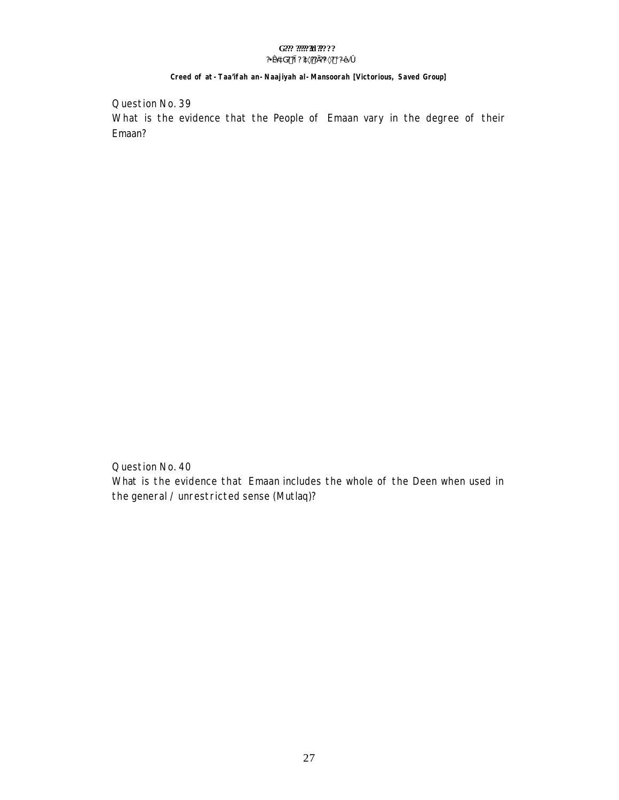#### G??? ????? 30???? ?¥æ´àG? ?ì ? ?à×?? Ì?¼×? ¡ ?Ð∙Ă Ó

#### Creed of at - Taa'ifah an - Naajiyah al - Mansoorah [Victorious, Saved Group]

Question No. 39 What is the evidence that the People of Emaan vary in the degree of their Emaan?

Question No. 40 What is the evidence that Emaan includes the whole of the Deen when used in the general / unrestricted sense (Mutlaq)?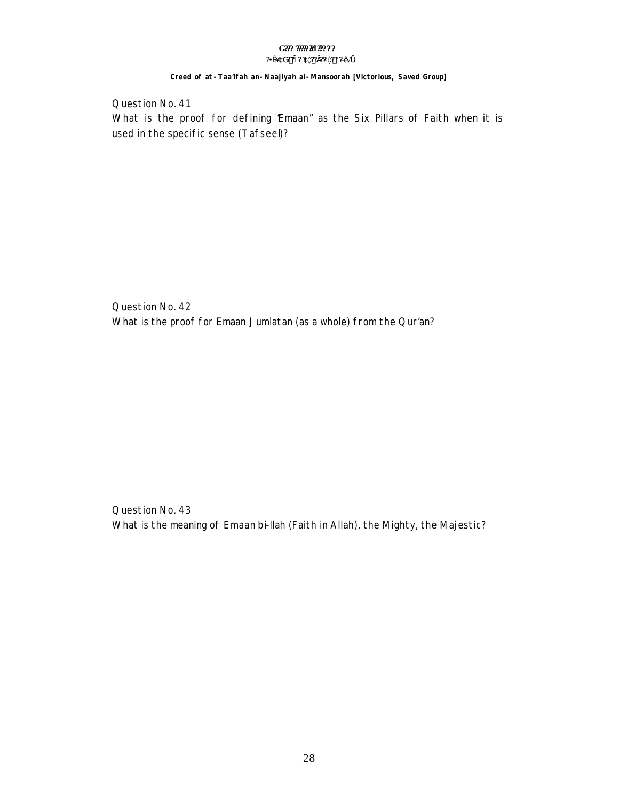#### G??? ????? 30???? ?¥æ´àG? ?ì ? ?à×?? Ì ?¼×? ¡ ?ЕÄ Ó

### Creed of at -Taa'ifah an-Naajiyah al-Mansoorah [Victorious, Saved Group]

Question No. 41 What is the proof for defining 'Emaan" as the Six Pillars of Faith when it is used in the specific sense (Tafseel)?

Question No. 42 What is the proof for Emaan Jumlatan (as a whole) from the Qur'an?

Question No. 43 What is the meaning of Emaan bi-llah (Faith in Allah), the Mighty, the Majestic?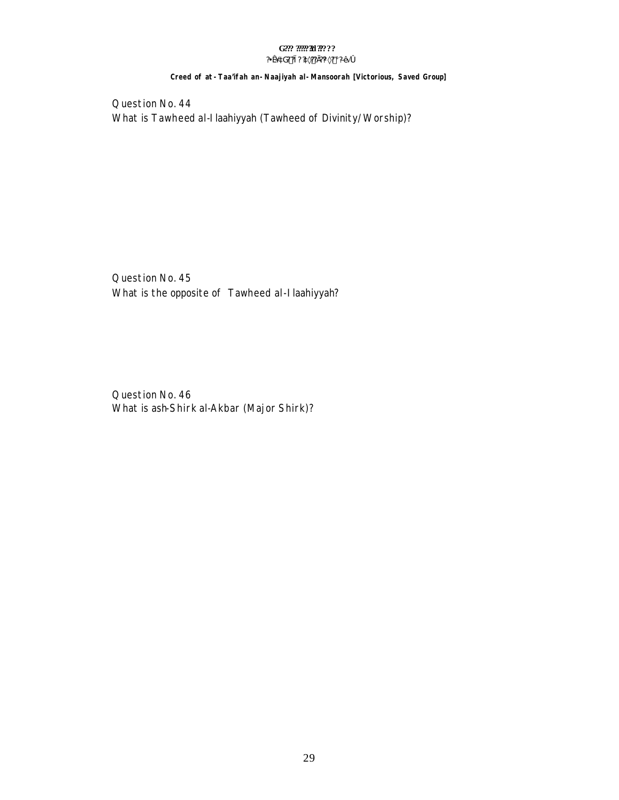#### G??? ????? 30???? ?¥æ´àG? ?ì ? ?à×?? Ì ?¼×? ¡ ?ЕĂ Ó

#### Creed of at - Taa'ifah an - Naajiyah al - Mansoorah [Victorious, Saved Group]

Question No. 44 What is Tawheed al-Ilaahiyyah (Tawheed of Divinity/Worship)?

Question No. 45 What is the opposite of Tawheed al-Ilaahiyyah?

Question No. 46 What is ash-Shirk al-Akbar (Major Shirk)?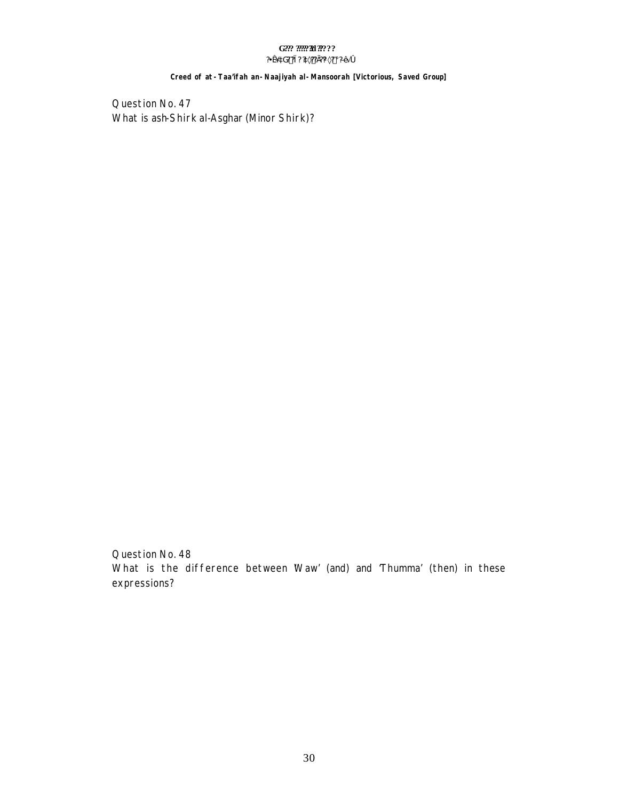#### G??? ??????!! ????? ?¥æ´àG? ?ì ? ?à×?? Ì ?¼×? ¡ ?ЕĂ Ó

#### Creed of at - Taa'ifah an - Naajiyah al - Mansoorah [Victorious, Saved Group]

Question No. 47 What is ash-Shirk al-Asghar (Minor Shirk)?

Question No. 48 What is the difference between Waw' (and) and 'Thumma' (then) in these expressions?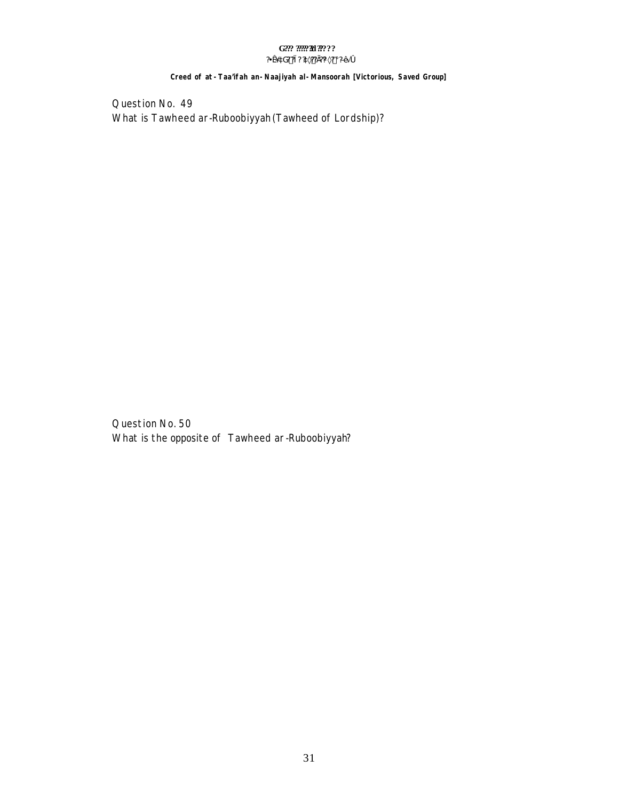#### G??? ??????!! ????? ?¥æ´àG? ?ì ? ?à×?? Ì ?¼×? ¡ ?ЕĂ Ó

#### Creed of at - Taa'ifah an - Naajiyah al - Mansoorah [Victorious, Saved Group]

Question No. 49 What is Tawheed ar-Ruboobiyyah (Tawheed of Lordship)?

Question No. 50 What is the opposite of Tawheed ar-Ruboobiyyah?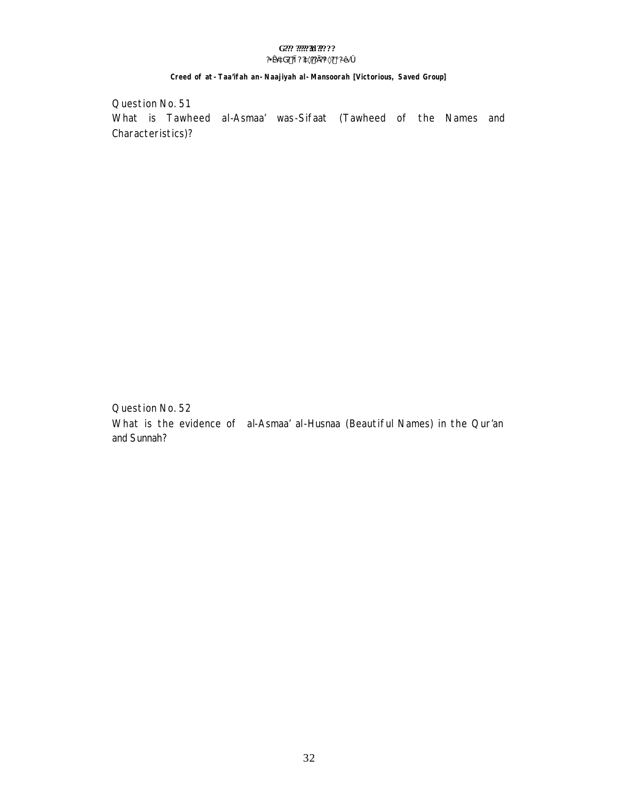#### G??? ????? 30???? ?¥æ´àG? ?ì ? ?à×?? Ì ?¼×? ¡ ?ЕĂ Ó

#### Creed of at - Taa'ifah an - Naajiyah al - Mansoorah [Victorious, Saved Group]

Question No. 51 What is Tawheed al-Asmaa' was-Sifaat (Tawheed of the Names and Characteristics)?

Question No. 52 What is the evidence of al-Asmaa' al-Husnaa (Beautiful Names) in the Qur'an and Sunnah?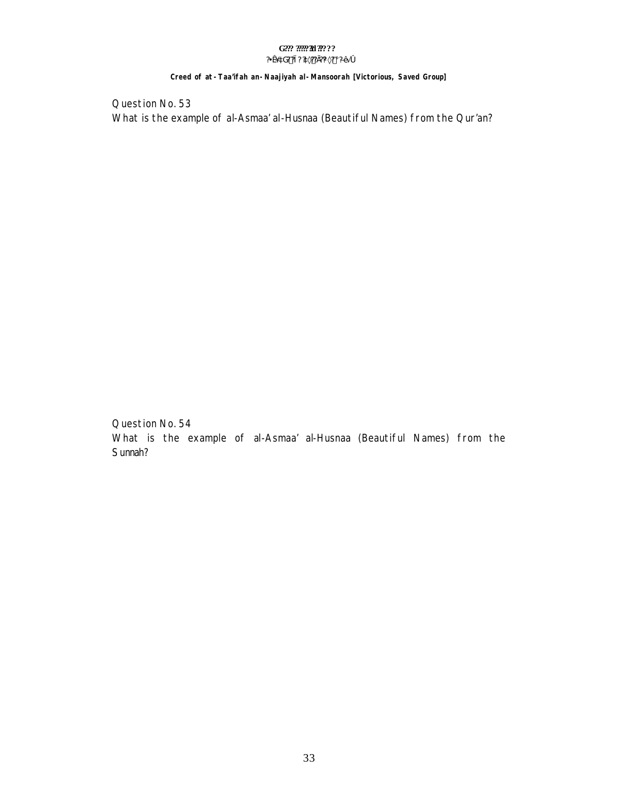#### G??? ????? 30???? ?¥æ´àG? ?ì ? ?à×?? Ì ?¼×? ¡ ?ЕĂ Ó

#### Creed of at - Taa'ifah an - Naajiyah al - Mansoorah [Victorious, Saved Group]

Question No. 53 What is the example of al-Asmaa' al-Husnaa (Beautiful Names) from the Qur'an?

Question No. 54 What is the example of al-Asmaa' al-Husnaa (Beautiful Names) from the Sunnah?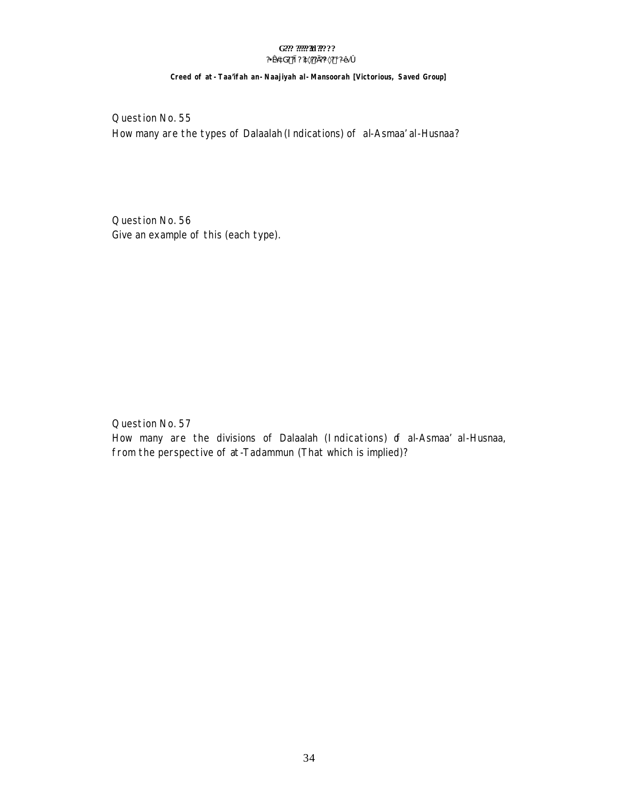#### G??? ????? 30???? ?¥æ´àG? ?ì ? ?à×?? Ì ?¼×? ¡ ?ЕÄ Ó

#### Creed of at - Taa'ifah an - Naajiyah al - Mansoorah [Victorious, Saved Group]

Question No. 55 How many are the types of Dalaalah (Indications) of al-Asmaa' al-Husnaa?

Question No. 56 Give an example of this (each type).

Question No. 57 How many are the divisions of Dalaalah (Indications) of al-Asmaa' al-Husnaa, from the perspective of at-Tadammun (That which is implied)?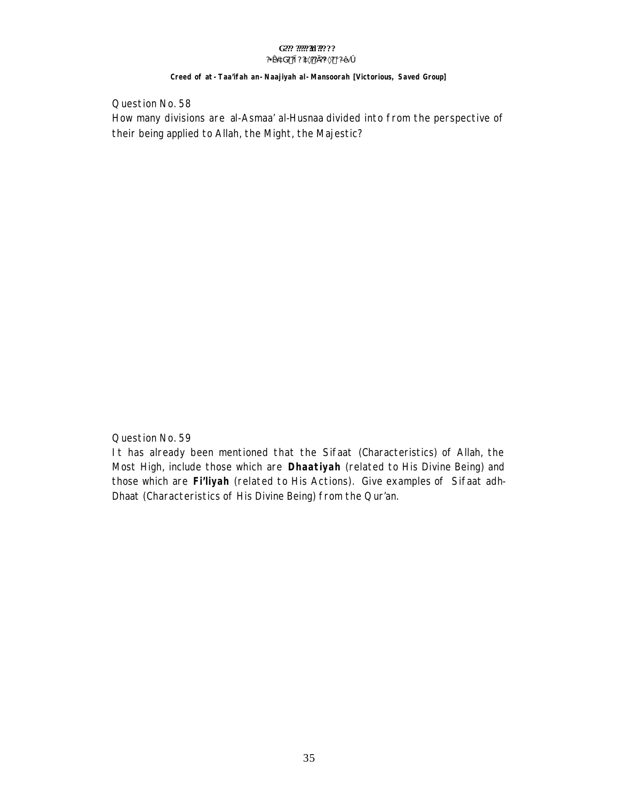#### Creed of at - Taa'ifah an - Naajiyah al - Mansoorah [Victorious, Saved Group]

Question No. 58 How many divisions are al-Asmaa' al-Husnaa divided into from the perspective of their being applied to Allah, the Might, the Majestic?

Question No. 59

It has already been mentioned that the Sifaat (Characteristics) of Allah, the Most High, include those which are **Dhaatiyah** (related to His Divine Being) and those which are Fi'liyah (related to His Actions). Give examples of Sifaat adh-Dhaat (Characteristics of His Divine Being) from the Qur'an.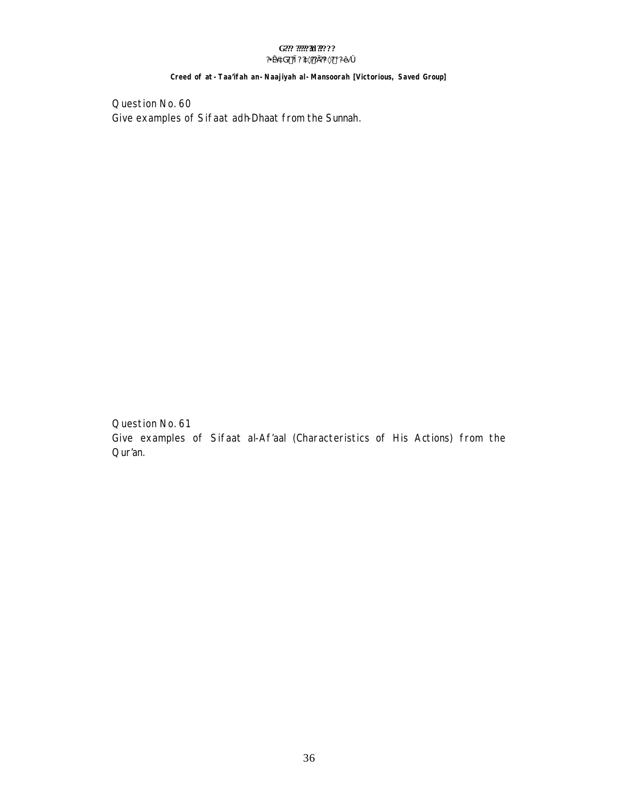#### G??? ????? 30???? ?¥æ´àG? ?ì ? ?à×?? Ì ?¼×? ¡ ?ЕĂ Ó

#### Creed of at - Taa'ifah an - Naajiyah al - Mansoorah [Victorious, Saved Group]

Question No. 60 Give examples of Sifaat adh-Dhaat from the Sunnah.

Question No. 61 Give examples of Sifaat al-Af'aal (Characteristics of His Actions) from the Qur'an.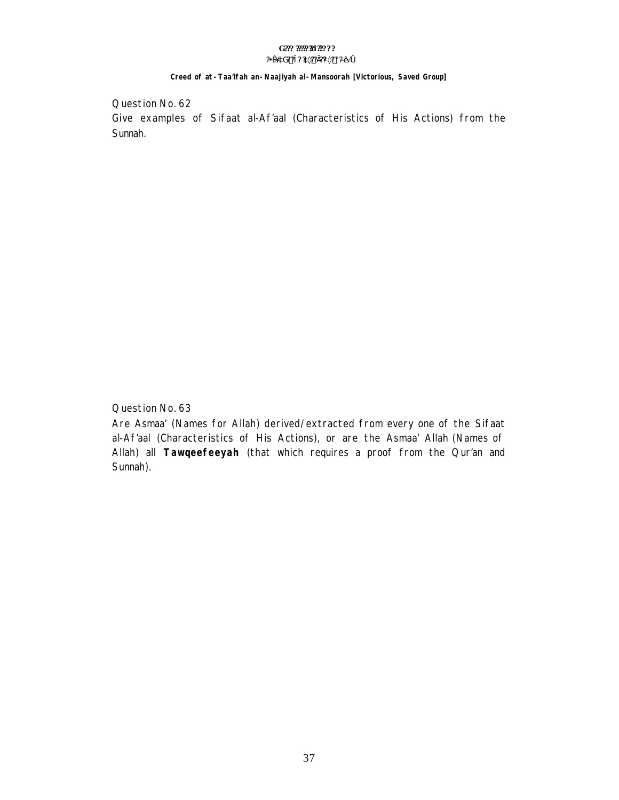### Creed of at -Taa'ifah an-Naajiyah al-Mansoorah [Victorious, Saved Group]

Question No. 62 Give examples of Sifaat al-Af'aal (Characteristics of His Actions) from the Sunnah.

Question No. 63

Are Asmaa' (Names for Allah) derived/extracted from every one of the Sifaat al-Af'aal (Characteristics of His Actions), or are the Asmaa' Allah (Names of Allah) all Tawqeefeeyah (that which requires a proof from the Qur'an and Sunnah).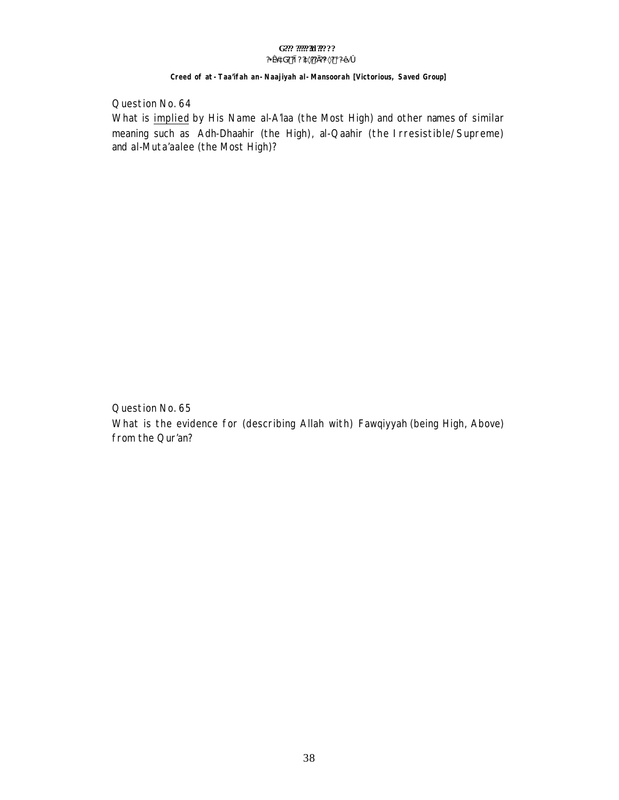# G??? ????? 30????

#### ?¥æ´àG??ì??à×??Ì?%×?;?ЕĂó

### Creed of at -Taa'ifah an-Naajiyah al-Mansoorah [Victorious, Saved Group]

Question No. 64

What is implied by His Name al-A'laa (the Most High) and other names of similar meaning such as Adh-Dhaahir (the High), al-Qaahir (the Irresistible/Supreme) and al-Muta'aalee (the Most High)?

Question No. 65 What is the evidence for (describing Allah with) Fawqiyyah (being High, Above) from the Qur'an?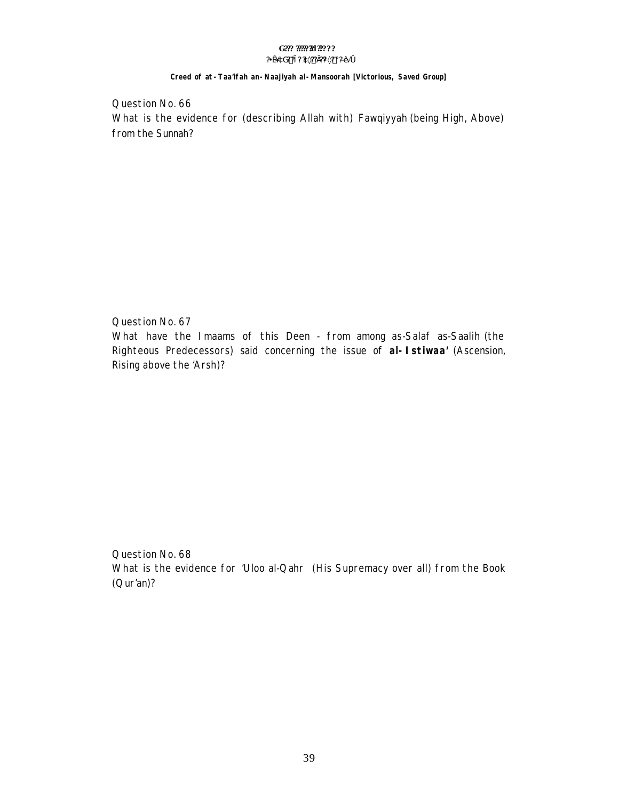#### Creed of at -Taa'ifah an-Naajiyah al-Mansoorah [Victorious, Saved Group]

Question No. 66 What is the evidence for (describing Allah with) Fawqiyyah (being High, Above) from the Sunnah?

Question No. 67 What have the Imaams of this Deen - from among as-Salaf as-Saalih (the Righteous Predecessors) said concerning the issue of al-Istiwaa' (Ascension, Rising above the 'Arsh)?

Question No. 68 What is the evidence for 'Uloo al-Qahr' (His Supremacy over all) from the Book  $(Qur'an)?$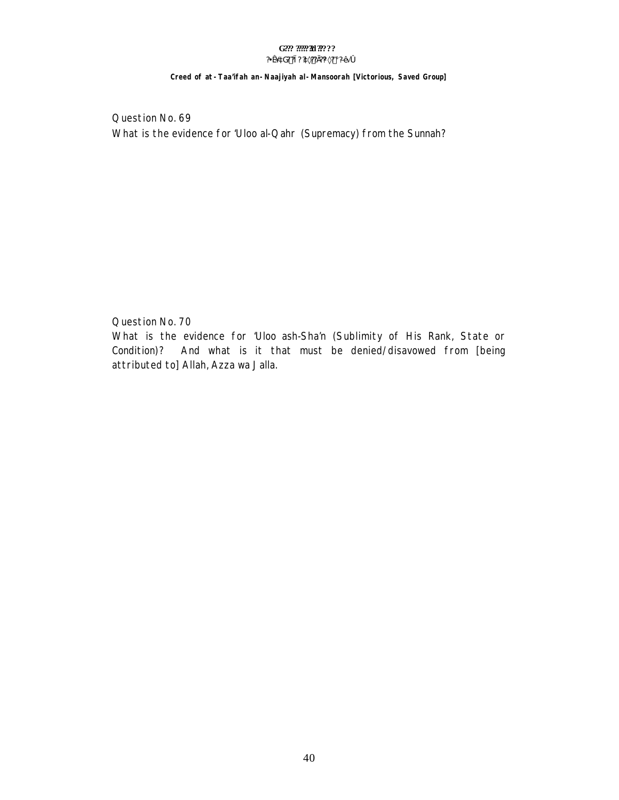#### G??? ????? 30???? ?¥æ´àG? ?ì ? ?à×?? Ì?¼×? ¡ ?Ð∙Ă Ó

# Creed of at -Taa'ifah an-Naajiyah al-Mansoorah [Victorious, Saved Group]

Question No. 69 What is the evidence for 'Uloo al-Qahr (Supremacy) from the Sunnah?

Question No. 70

What is the evidence for 'Uloo ash-Sha'n (Sublimity of His Rank, State or Condition)? And what is it that must be denied/disavowed from [being attributed to] Allah, Azza wa Jalla.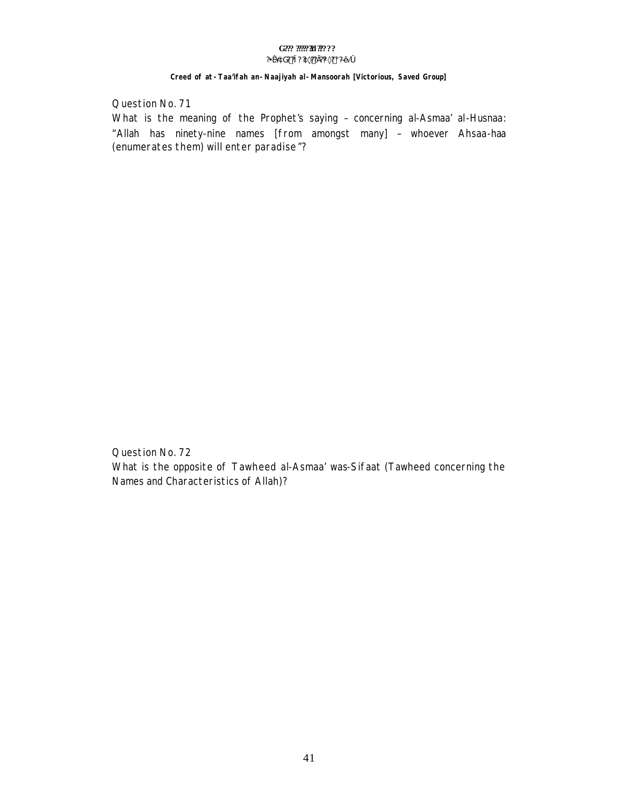# G??? ????? 30????

#### $?4x^3dG?$  ? i ?  $2x^2$ ? i ?  $\frac{3x^2}{2}$  i  $\frac{3x^4}{2}$  i  $\frac{3x^4}{2}$  o

#### Creed of at - Taa'ifah an - Naajiyah al - Mansoorah [Victorious, Saved Group]

Question No. 71

What is the meaning of the Prophet's saying - concerning al-Asmaa' al-Husnaa: "Allah has ninety-nine names [from amongst many] - whoever Ahsaa-haa (enumerates them) will enter paradise"?

Question No. 72 What is the opposite of Tawheed al-Asmaa' was-Sifaat (Tawheed concerning the Names and Characteristics of Allah)?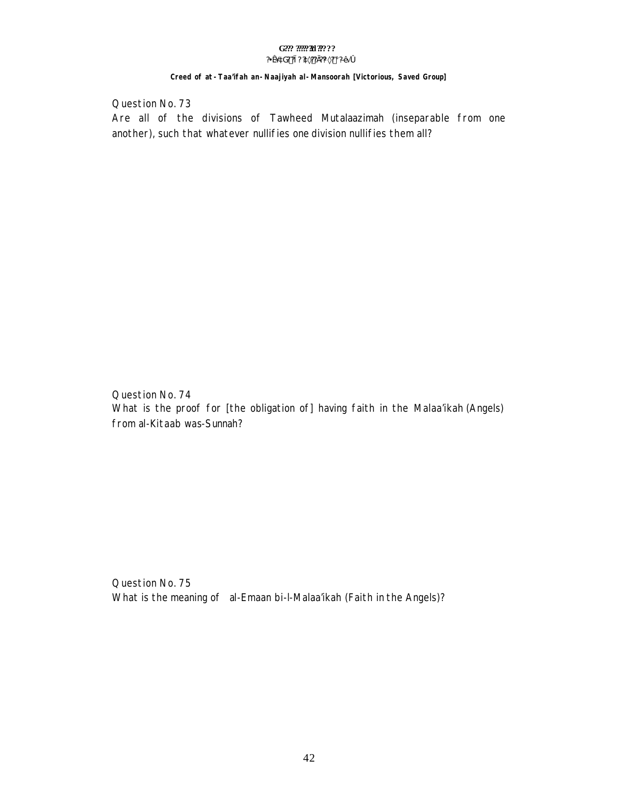### Creed of at -Taa'ifah an-Naajiyah al-Mansoorah [Victorious, Saved Group]

Question No. 73

Are all of the divisions of Tawheed Mutalaazimah (inseparable from one another), such that whatever nullifies one division nullifies them all?

Question No. 74 What is the proof for [the obligation of] having faith in the Malaa'ikah (Angels) from al-Kitaab was-Sunnah?

Question No. 75 What is the meaning of al-Emaan bi-I-Malaa'ikah (Faith in the Angels)?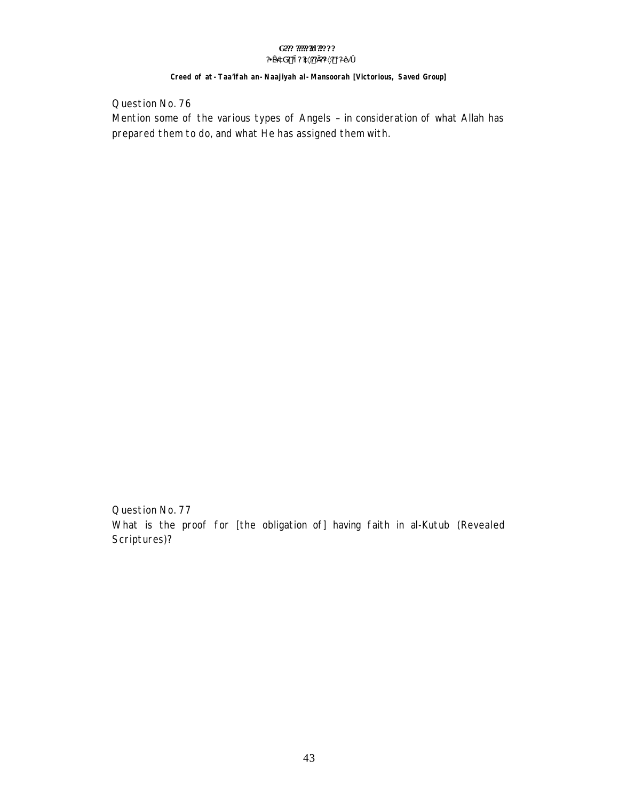#### G??? ????? 30???? ?¥æ´àG? ?ì ? ?à×?? Ì?¼×? ¡ ?Ð∙Ă Ó

#### Creed of at - Taa'ifah an - Naajiyah al - Mansoorah [Victorious, Saved Group]

Question No. 76

Mention some of the various types of Angels - in consideration of what Allah has prepared them to do, and what He has assigned them with.

Question No. 77 What is the proof for [the obligation of] having faith in al-Kutub (Revealed Scriptures)?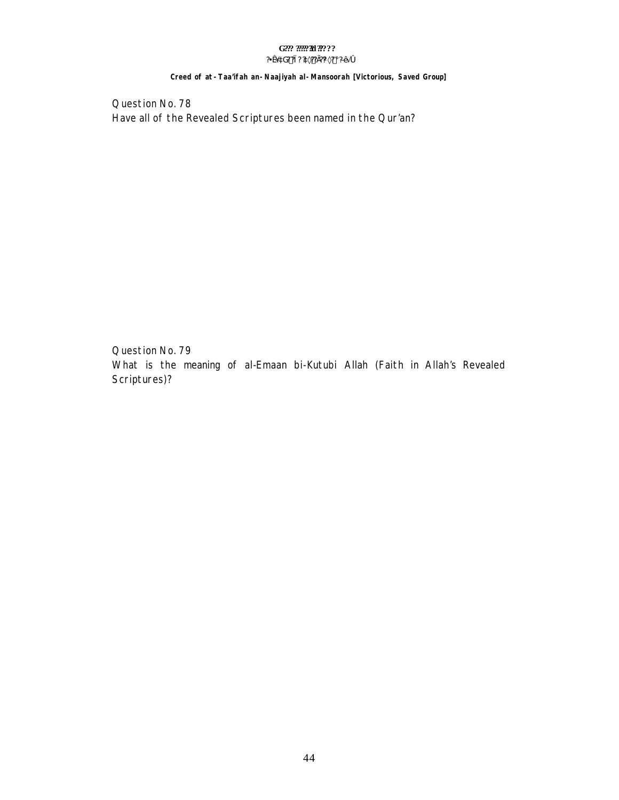#### G??? ??????!! ????? ?¥æ´àG? ?ì ? ?à×?? Ì ?¼×? ¡ ?ЕĂ Ó

#### Creed of at - Taa'ifah an - Naajiyah al - Mansoorah [Victorious, Saved Group]

Question No. 78 Have all of the Revealed Scriptures been named in the Qur'an?

Question No. 79 What is the meaning of al-Emaan bi-Kutubi Allah (Faith in Allah's Revealed Scriptures)?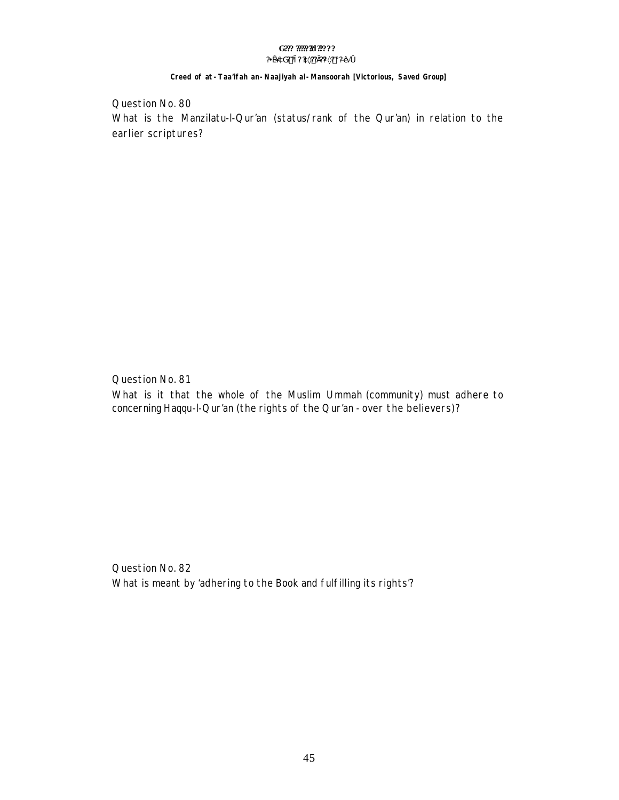### Creed of at -Taa'ifah an-Naajiyah al-Mansoorah [Victorious, Saved Group]

Question No. 80 What is the Manzilatu-I-Qur'an (status/rank of the Qur'an) in relation to the earlier scriptures?

Question No. 81 What is it that the whole of the Muslim Ummah (community) must adhere to concerning Haqqu-I-Qur'an (the rights of the Qur'an - over the believers)?

Question No. 82 What is meant by 'adhering to the Book and fulfilling its rights'?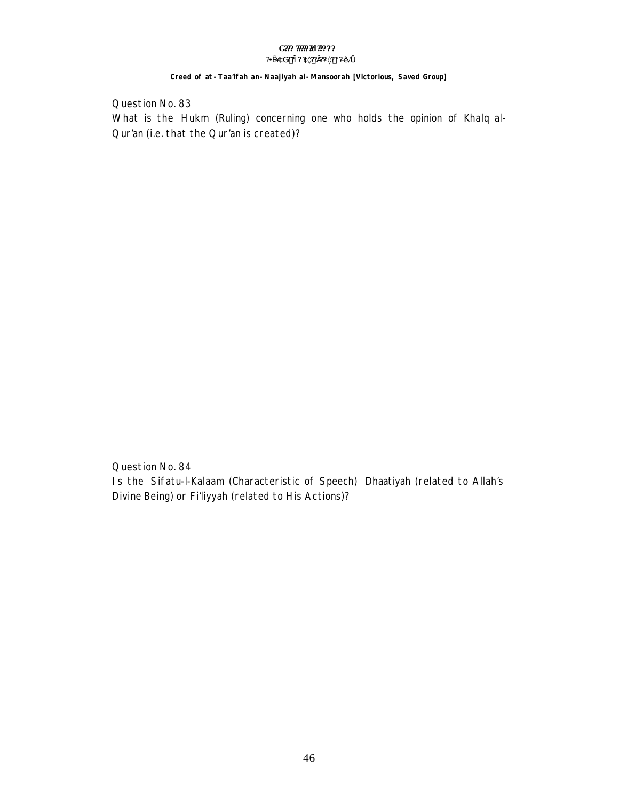#### G??? ????? 30???? ?¥æ´àG? ?ì ? ?à×?? Ì?¼×? ¡ ?Ð∙Ă Ó

#### Creed of at - Taa'ifah an - Naajiyah al - Mansoorah [Victorious, Saved Group]

Question No. 83

What is the Hukm (Ruling) concerning one who holds the opinion of Khalq al-Our'an (i.e. that the Qur'an is created)?

Question No. 84 Is the Sifatu-I-Kalaam (Characteristic of Speech) Dhaatiyah (related to Allah's Divine Being) or Fi'liyyah (related to His Actions)?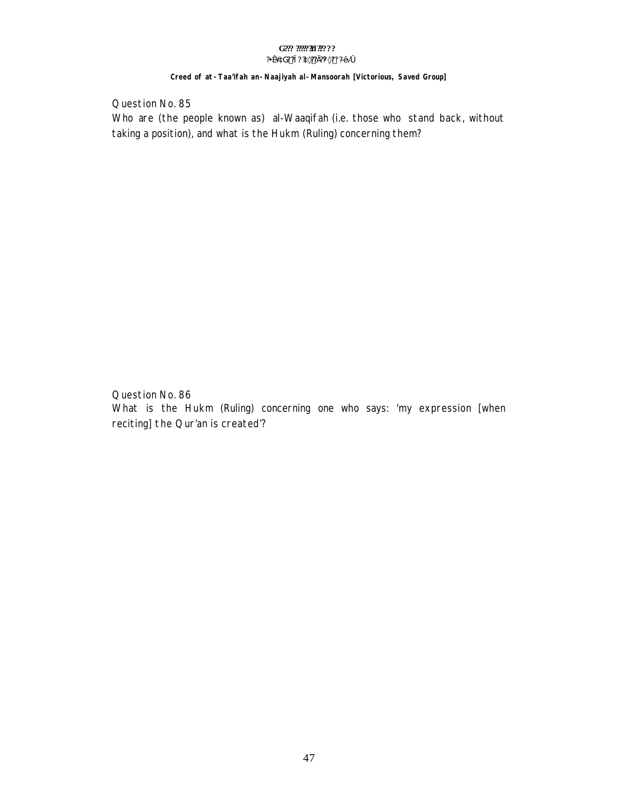#### G??? ????? 30???? ?¥æ´àG? ?ì ? ?à×?? Ì ?¼×? ¡ ?ЕÄ Ó

#### Creed of at - Taa'ifah an - Naajiyah al - Mansoorah [Victorious, Saved Group]

Question No. 85 Who are (the people known as) al-Waaqifah (i.e. those who stand back, without taking a position), and what is the Hukm (Ruling) concerning them?

Question No. 86

What is the Hukm (Ruling) concerning one who says: 'my expression [when reciting] the Qur'an is created?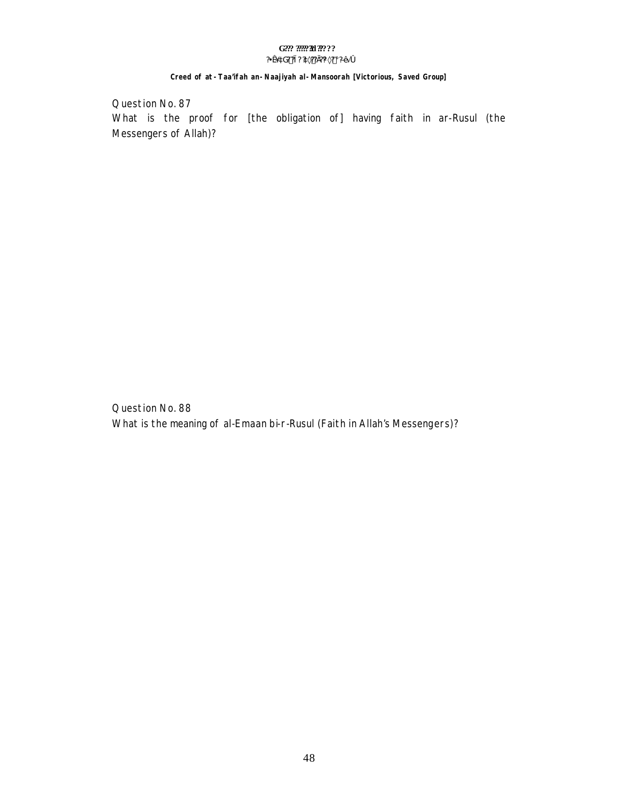#### G??? ????? 30???? ?¥æ´àG? ?ì ? ?à×?? Ì ?¼×? ¡ ?ЕĂ Ó

#### Creed of at - Taa'ifah an - Naajiyah al - Mansoorah [Victorious, Saved Group]

Question No. 87 What is the proof for [the obligation of] having faith in ar-Rusul (the Messengers of Allah)?

Question No. 88 What is the meaning of al-Emaan bi-r-Rusul (Faith in Allah's Messengers)?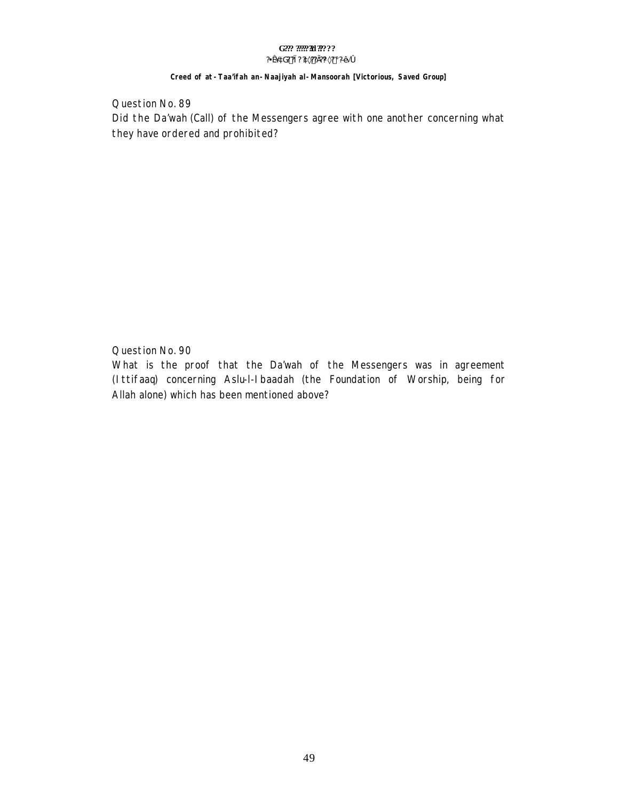#### G??? ????? 30????  $?4x^3dG?$  ? i ?  $2x^2$ ? i ?  $\frac{3x^2}{2}$  i  $\frac{3x^4}{2}$  i  $\frac{3x^4}{2}$  o

#### Creed of at - Taa'ifah an - Naajiyah al - Mansoorah [Victorious, Saved Group]

Question No. 89 Did the Da'wah (Call) of the Messengers agree with one another concerning what they have ordered and prohibited?

Question No. 90

What is the proof that the Da'wah of the Messengers was in agreement (Ittifaaq) concerning Aslu-I-I baadah (the Foundation of Worship, being for Allah alone) which has been mentioned above?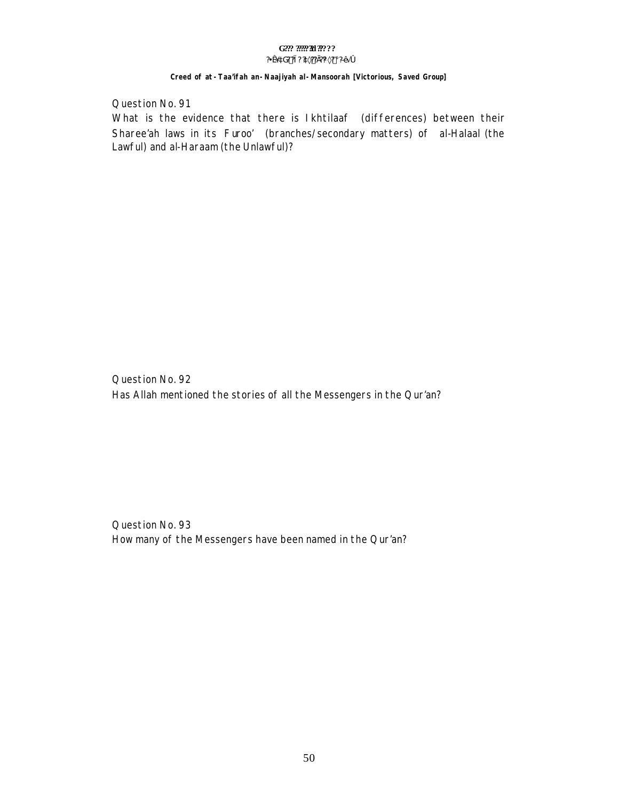#### Creed of at -Taa'ifah an-Naajiyah al-Mansoorah [Victorious, Saved Group]

Question No. 91

What is the evidence that there is Ikhtilaaf (differences) between their Sharee'ah laws in its Furoo' (branches/secondary matters) of al-Halaal (the Lawful) and al-Haraam (the Unlawful)?

Question No. 92 Has Allah mentioned the stories of all the Messengers in the Qur'an?

Question No. 93 How many of the Messengers have been named in the Qur'an?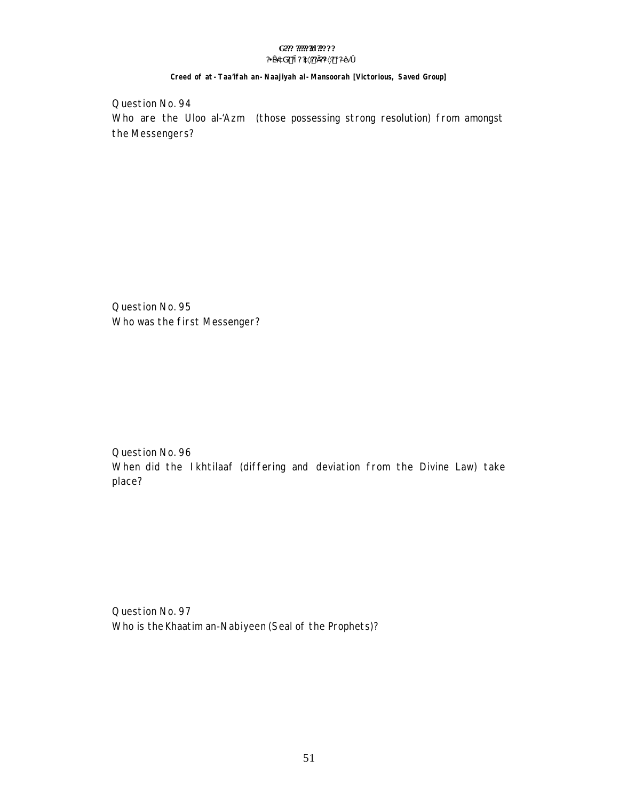### Creed of at -Taa'ifah an-Naajiyah al-Mansoorah [Victorious, Saved Group]

Question No. 94 Who are the Uloo al-'Azm (those possessing strong resolution) from amongst the Messengers?

Question No. 95 Who was the first Messenger?

Question No. 96 When did the Ikhtilaaf (differing and deviation from the Divine Law) take place?

Question No. 97 Who is the Khaatim an-Nabiyeen (Seal of the Prophets)?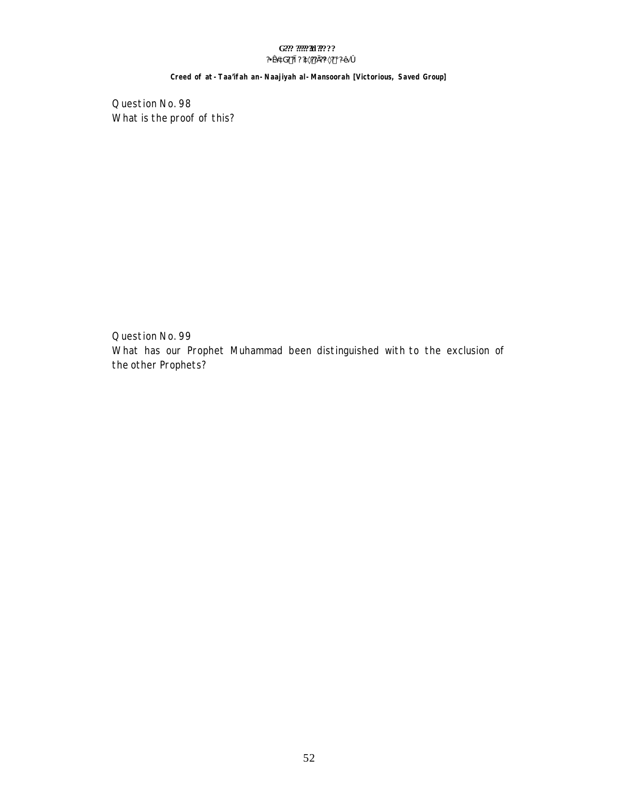#### G??? ??????!! ????? ?¥æ´àG? ?ì ? ?à×?? Ì ?¼×? ¡ ?ЕĂ Ó

Creed of at - Taa'ifah an - Naajiyah al - Mansoorah [Victorious, Saved Group]

Question No. 98 What is the proof of this?

Question No. 99 What has our Prophet Muhammad been distinguished with to the exclusion of the other Prophets?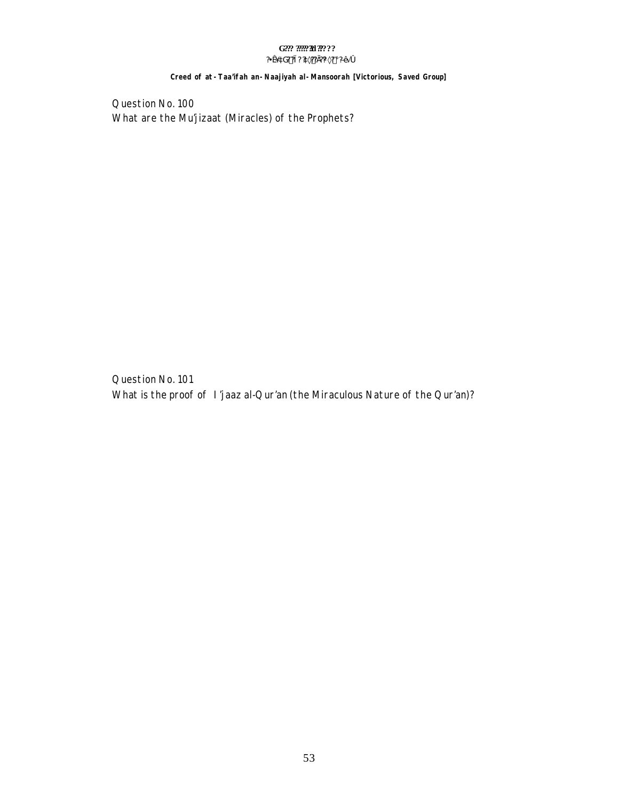#### G??? ????? 30???? ?¥æ´àG? ?ì ? ?à×?? Ì ?¼×? ¡ ?ЕĂ Ó

#### Creed of at - Taa'ifah an - Naajiyah al - Mansoorah [Victorious, Saved Group]

Question No. 100 What are the Mu'jizaat (Miracles) of the Prophets?

Question No. 101 What is the proof of I'jaaz al-Qur'an (the Miraculous Nature of the Qur'an)?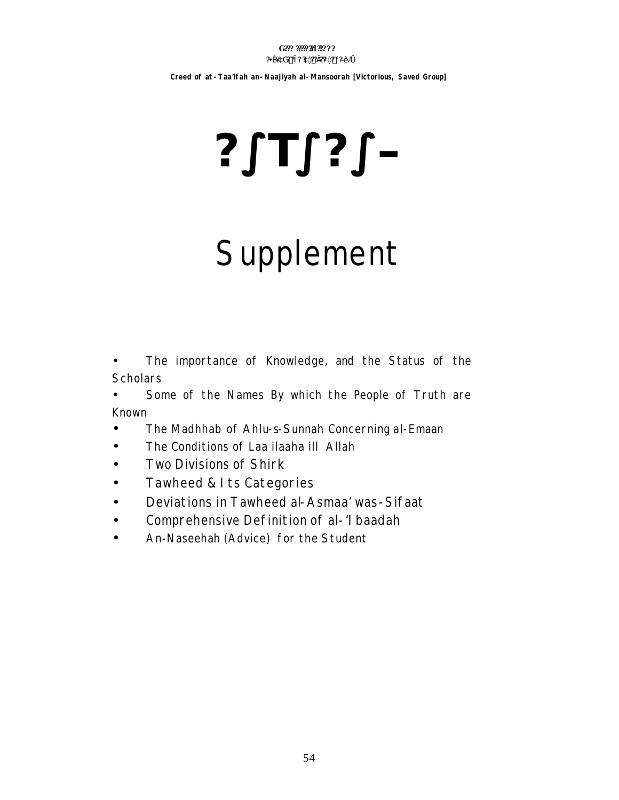Creed of at - Taa'ifah an - Naajiyah al - Mansoorah [Victorious, Saved Group]

# $2°T°?°P$

# Supplement

- The importance of Knowledge, and the Status of the  $\bullet$ **Scholars**
- Some of the Names By which the People of Truth are  $\bullet$ Known
- The Madhhab of Ahlu-s-Sunnah Concerning al-Emaan  $\bullet$
- The Conditions of Laa ilaaha ill Allah  $\bullet$
- Two Divisions of Shirk  $\bullet$
- Tawheed & Its Categories  $\bullet$
- Deviations in Tawheed al-Asmaa' was-Sifaat  $\bullet$
- Comprehensive Definition of al-'I baadah  $\bullet$
- An-Naseehah (Advice) for the Student  $\bullet$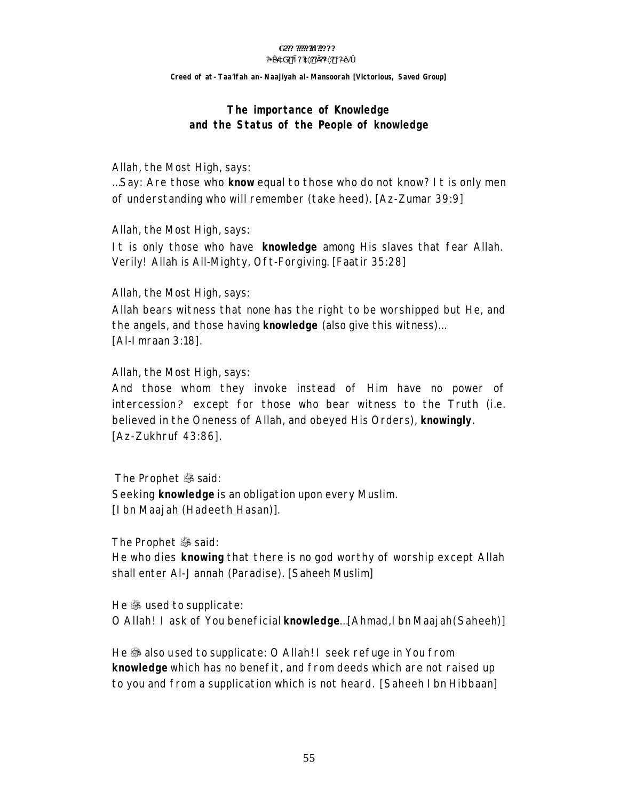#### G??? ????? 31 ?????  $?4x$  aG? ?i?  $x$ <sub>2</sub>??  $?W \times ?$  i  $D \times 10$

Creed of at - Taa'ifah an - Naajiyah al - Mansoorah [Victorious, Saved Group]

# The importance of Knowledge and the Status of the People of knowledge

Allah, the Most High, says:

...Say: Are those who know equal to those who do not know? I t is only men of understanding who will remember (take heed). [Az-Zumar 39:9]

Allah, the Most High, says:

It is only those who have knowledge among His slaves that fear Allah. Verily! Allah is All-Mighty, Oft-Forgiving. [Faatir 35:28]

Allah, the Most High, says:

Allah bears witness that none has the right to be worshipped but He, and the angels, and those having **knowledge** (also give this witness)... [Al-I mraan 3:18].

Allah, the Most High, says:

And those whom they invoke instead of Him have no power of intercession? except for those who bear witness to the Truth (i.e. believed in the Oneness of Allah, and obeyed His Orders), knowingly. [Az-Zukhruf 43:86].

The Prophet . said: Seeking knowledge is an obligation upon every Muslim. [I bn Maajah (Hadeeth Hasan)].

The Prophet . said:

He who dies knowing that there is no god worthy of worship except Allah shall enter Al-Jannah (Paradise). [Saheeh Muslim]

He & used to supplicate: O Allah! I ask of You beneficial **knowledge**...[Ahmad,I bn Maajah(Saheeh)]

He & also used to supplicate: O Allah! I seek refuge in You from knowledge which has no benefit, and from deeds which are not raised up to you and from a supplication which is not heard. [Saheeh I bn Hibbaan]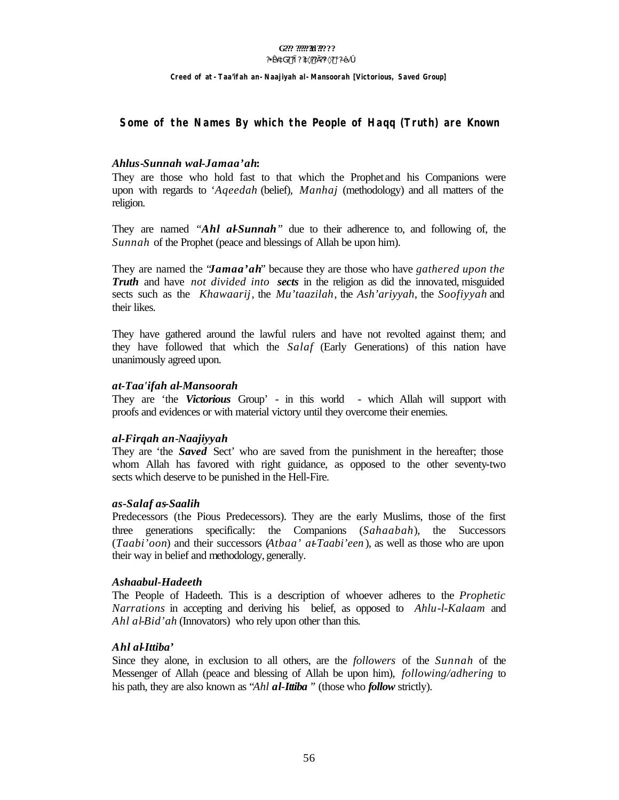#### G??? ????? 31 ?????  $?4x$  aG? ?i?  $?a \times ??$ ]? $% \times ?$  ;  $D A$  o

Creed of at - Taa'ifah an - Naajiyah al - Mansoorah [Victorious, Saved Group]

#### Some of the Names By which the People of Hagg (Truth) are Known

#### Ahlus-Sunnah wal-Jamaa'ah:

They are those who hold fast to that which the Prophet and his Companions were upon with regards to '*Ageedah* (belief), *Manhaj* (methodology) and all matters of the religion.

They are named "Ahl al-Sunnah" due to their adherence to, and following of, the Sunnah of the Prophet (peace and blessings of Allah be upon him).

They are named the *'Jamaa'ah'* because they are those who have *gathered upon the* **Truth** and have not divided into **sects** in the religion as did the innovated, misguided sects such as the *Khawaarij*, the *Mu'taazilah*, the *Ash'ariyyah*, the *Soofiyyah* and their likes.

They have gathered around the lawful rulers and have not revolted against them; and they have followed that which the Salaf (Early Generations) of this nation have unanimously agreed upon.

#### at-Taa'ifah al-Mansoorah

They are 'the Victorious Group' - in this world - which Allah will support with proofs and evidences or with material victory until they overcome their enemies.

#### al-Firgah an-Naajiyyah

They are 'the *Saved* Sect' who are saved from the punishment in the hereafter; those whom Allah has favored with right guidance, as opposed to the other seventy-two sects which deserve to be punished in the Hell-Fire.

#### as-Salaf as-Saalih

Predecessors (the Pious Predecessors). They are the early Muslims, those of the first three generations specifically: the Companions (Sahaabah), the Successors (Taabi'oon) and their successors (Atbaa' at Taabi'een), as well as those who are upon their way in belief and methodology, generally.

#### Ashaabul-Hadeeth

The People of Hadeeth. This is a description of whoever adheres to the *Prophetic* Narrations in accepting and deriving his belief, as opposed to Ahlu-l-Kalaam and Ahl al-Bid'ah (Innovators) who rely upon other than this.

#### Ahl al-Ittiba'

Since they alone, in exclusion to all others, are the *followers* of the *Sunnah* of the Messenger of Allah (peace and blessing of Allah be upon him), *following/adhering* to his path, they are also known as "Ahl al-Ittiba" (those who follow strictly).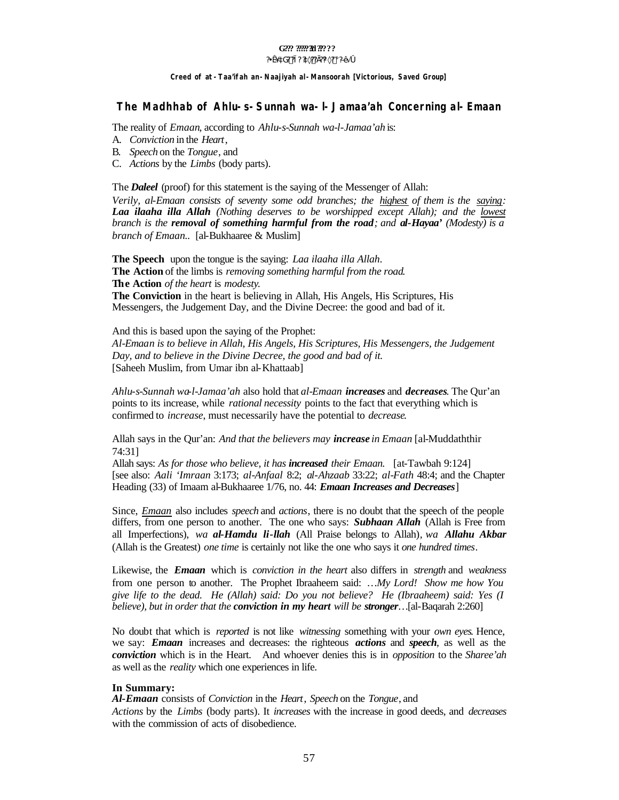#### G??? ?????**?!** ??????

#### **?¥æ´àG? ?ì? ?à×??Ì??¼×? ¡ ?ЕÃ ó**

#### **Creed of** *at-Taa'ifah an-Naajiyah al-Mansoorah* **[Victorious, Saved Group]**

#### **The** *Madhhab* **of Ahlu-s-Sunnah wa-l-Jamaa'ah Concerning** *al-Emaan*

The reality of *Emaan*, according to *Ahlu-s-Sunnah wa-l-Jamaa'ah* is:

- A. *Conviction* in the *Heart*,
- B. *Speech* on the *Tongue*, and
- C. *Actions* by the *Limbs* (body parts).

The *Daleel* (proof) for this statement is the saying of the Messenger of Allah:

*Verily, al-Emaan consists of seventy some odd branches; the highest of them is the saying: Laa ilaaha illa Allah (Nothing deserves to be worshipped except Allah); and the lowest branch is the removal of something harmful from the road; and al-Hayaa' (Modesty) is a branch of Emaan..* [al-Bukhaaree & Muslim]

**The Speech** upon the tongue is the saying: *Laa ilaaha illa Allah*. **The Action** of the limbs is *removing something harmful from the road*. **The Action** *of the heart* is *modesty*. **The Conviction** in the heart is believing in Allah, His Angels, His Scriptures, His Messengers, the Judgement Day, and the Divine Decree: the good and bad of it.

And this is based upon the saying of the Prophet: *Al-Emaan is to believe in Allah, His Angels, His Scriptures, His Messengers, the Judgement Day, and to believe in the Divine Decree, the good and bad of it.* [Saheeh Muslim, from Umar ibn al-Khattaab]

*Ahlu-s-Sunnah wa-l-Jamaa'ah* also hold that *al-Emaan increases* and *decreases*. The Qur'an points to its increase, while *rational necessity* points to the fact that everything which is confirmed to *increase*, must necessarily have the potential to *decrease*.

Allah says in the Qur'an: *And that the believers may increase in Emaan* [al-Muddaththir 74:31]

Allah says: *As for those who believe, it has increased their Emaan.* [at-Tawbah 9:124] [see also: *Aali 'Imraan* 3:173; *al-Anfaal* 8:2; *al-Ahzaab* 33:22; *al-Fath* 48:4; and the Chapter Heading (33) of Imaam al-Bukhaaree 1/76, no. 44: *Emaan Increases and Decreases*]

Since, *Emaan* also includes *speech* and *actions*, there is no doubt that the speech of the people differs, from one person to another. The one who says: *Subhaan Allah* (Allah is Free from all Imperfections), *wa al-Hamdu li-llah* (All Praise belongs to Allah)*, wa Allahu Akbar* (Allah is the Greatest) *one time* is certainly not like the one who says it *one hundred times*.

Likewise, the *Emaan* which is *conviction in the heart* also differs in *strength* and *weakness* from one person to another. The Prophet Ibraaheem said: *…My Lord! Show me how You give life to the dead. He (Allah) said: Do you not believe? He (Ibraaheem) said: Yes (I believe), but in order that the conviction in my heart will be stronger…*[al-Baqarah 2:260]

No doubt that which is *reported* is not like *witnessing* something with your *own eyes*. Hence, we say: *Emaan* increases and decreases: the righteous *actions* and *speech*, as well as the *conviction* which is in the Heart. And whoever denies this is in *opposition* to the *Sharee'ah* as well as the *reality* which one experiences in life.

#### **In Summary:**

*Al-Emaan* consists of *Conviction* in the *Heart*, *Speech* on the *Tongue*, and *Actions* by the *Limbs* (body parts). It *increases* with the increase in good deeds, and *decreases* with the commission of acts of disobedience.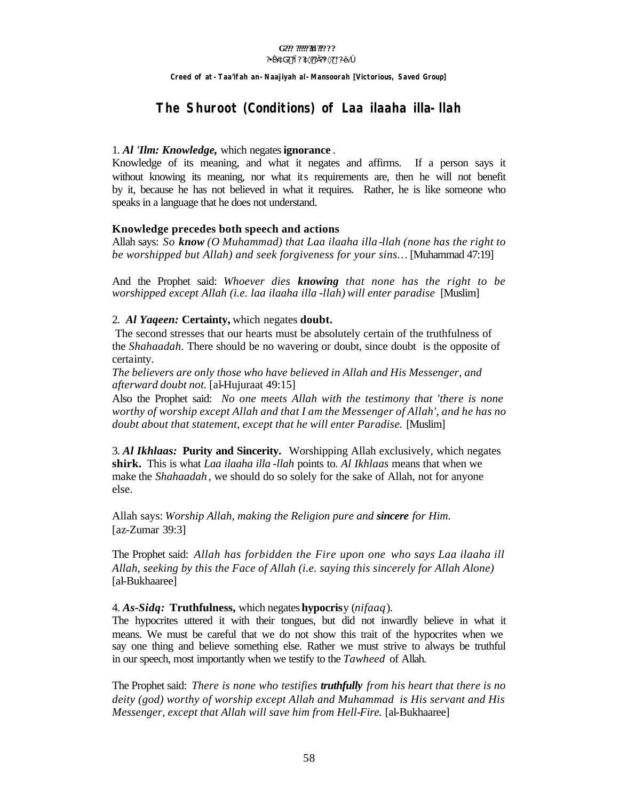**Creed of** *at-Taa'ifah an-Naajiyah al-Mansoorah* **[Victorious, Saved Group]**

# **The** *Shuroot* **(Conditions) of** *Laa ilaaha illa-llah*

#### 1. *Al 'Ilm: Knowledge,* which negates**ignorance** .

Knowledge of its meaning, and what it negates and affirms. If a person says it without knowing its meaning, nor what its requirements are, then he will not benefit by it, because he has not believed in what it requires. Rather, he is like someone who speaks in a language that he does not understand.

#### **Knowledge precedes both speech and actions**

Allah says: *So know (O Muhammad) that Laa ilaaha illa -llah (none has the right to be worshipped but Allah) and seek forgiveness for your sins…* [Muhammad 47:19]

And the Prophet said: *Whoever dies knowing that none has the right to be worshipped except Allah (i.e. laa ilaaha illa -llah) will enter paradise* [Muslim]

#### 2. *Al Yaqeen:* **Certainty,** which negates **doubt.**

The second stresses that our hearts must be absolutely certain of the truthfulness of the *Shahaadah*. There should be no wavering or doubt, since doubt is the opposite of certainty.

*The believers are only those who have believed in Allah and His Messenger, and afterward doubt not.* [al-Hujuraat 49:15]

Also the Prophet said: *No one meets Allah with the testimony that 'there is none worthy of worship except Allah and that I am the Messenger of Allah', and he has no doubt about that statement, except that he will enter Paradise.* [Muslim]

3. *Al Ikhlaas:* **Purity and Sincerity.** Worshipping Allah exclusively, which negates **shirk.** This is what *Laa ilaaha illa -llah* points to. *Al Ikhlaas* means that when we make the *Shahaadah* , we should do so solely for the sake of Allah, not for anyone else.

Allah says: *Worship Allah, making the Religion pure and sincere for Him.* [az-Zumar 39:3]

The Prophet said: *Allah has forbidden the Fire upon one who says Laa ilaaha ill Allah, seeking by this the Face of Allah (i.e. saying this sincerely for Allah Alone)* [al-Bukhaaree]

#### 4. *As-Sidq:* **Truthfulness,** which negates **hypocris**y (*nifaaq*).

The hypocrites uttered it with their tongues, but did not inwardly believe in what it means. We must be careful that we do not show this trait of the hypocrites when we say one thing and believe something else. Rather we must strive to always be truthful in our speech, most importantly when we testify to the *Tawheed* of Allah.

The Prophet said: *There is none who testifies truthfully from his heart that there is no deity (god) worthy of worship except Allah and Muhammad is His servant and His Messenger, except that Allah will save him from Hell-Fire.* [al-Bukhaaree]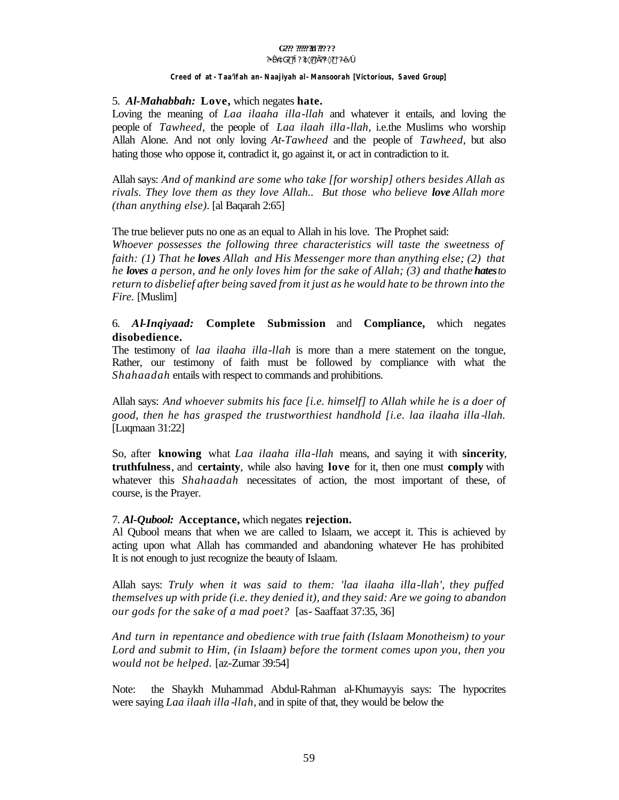# G??? ?????**?!** ??????

#### **?¥æ´àG? ?ì? ?à×??Ì??¼×? ¡ ?ЕÃ ó**

#### **Creed of** *at-Taa'ifah an-Naajiyah al-Mansoorah* **[Victorious, Saved Group]**

#### 5. *Al-Mahabbah:* **Love,** which negates **hate.**

Loving the meaning of *Laa ilaaha illa-llah* and whatever it entails, and loving the people of *Tawheed,* the people of *Laa ilaah illa-llah*, i.e.the Muslims who worship Allah Alone. And not only loving *At-Tawheed* and the people of *Tawheed*, but also hating those who oppose it, contradict it, go against it, or act in contradiction to it.

Allah says: *And of mankind are some who take [for worship] others besides Allah as rivals. They love them as they love Allah.. But those who believe love Allah more (than anything else).* [al Baqarah 2:65]

The true believer puts no one as an equal to Allah in his love. The Prophet said:

*Whoever possesses the following three characteristics will taste the sweetness of faith: (1) That he loves Allah and His Messenger more than anything else; (2) that he loves a person, and he only loves him for the sake of Allah; (3) and thathe hates to return to disbelief after being saved from it just as he would hate to be thrown into the Fire.* [Muslim]

### 6. *Al-Inqiyaad:* **Complete Submission** and **Compliance,** which negates **disobedience.**

The testimony of *laa ilaaha illa-llah* is more than a mere statement on the tongue, Rather, our testimony of faith must be followed by compliance with what the *Shahaadah* entails with respect to commands and prohibitions.

Allah says: *And whoever submits his face [i.e. himself] to Allah while he is a doer of good, then he has grasped the trustworthiest handhold [i.e. laa ilaaha illa -llah.*  [Luqmaan 31:22]

So, after **knowing** what *Laa ilaaha illa-llah* means, and saying it with **sincerity**, **truthfulness**, and **certainty**, while also having **love** for it, then one must **comply** with whatever this *Shahaadah* necessitates of action, the most important of these, of course, is the Prayer.

#### 7. *Al-Qubool:* **Acceptance,** which negates **rejection.**

Al Qubool means that when we are called to Islaam, we accept it. This is achieved by acting upon what Allah has commanded and abandoning whatever He has prohibited It is not enough to just recognize the beauty of Islaam.

Allah says: *Truly when it was said to them: 'laa ilaaha illa-llah', they puffed themselves up with pride (i.e. they denied it), and they said: Are we going to abandon our gods for the sake of a mad poet?* [as- Saaffaat 37:35, 36]

*And turn in repentance and obedience with true faith (Islaam Monotheism) to your Lord and submit to Him, (in Islaam) before the torment comes upon you, then you would not be helped.* [az-Zumar 39:54]

Note: the Shaykh Muhammad Abdul-Rahman al-Khumayyis says: The hypocrites were saying *Laa ilaah illa -llah,* and in spite of that, they would be below the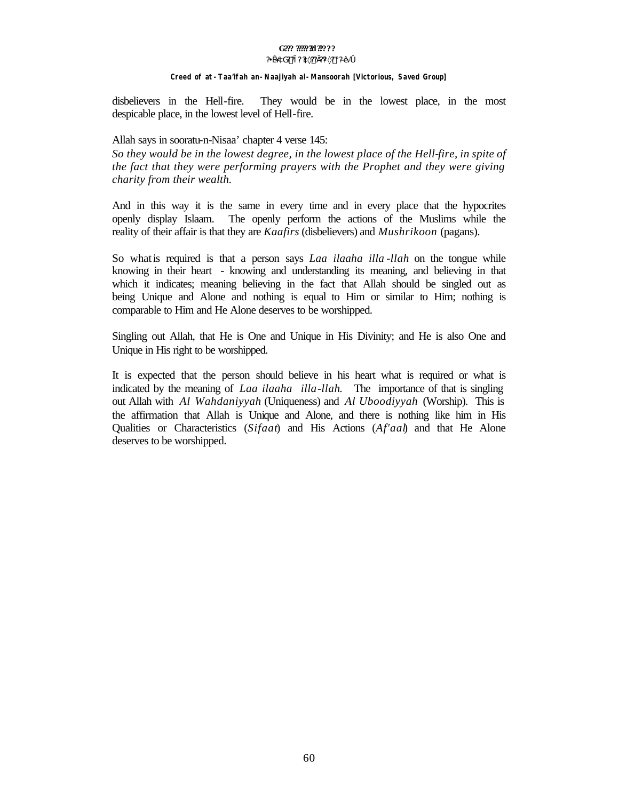#### G??? ?????**?!** ?????? **?¥æ´àG? ?ì? ?à×??Ì??¼×? ¡ ?ЕÃ ó**

#### **Creed of** *at-Taa'ifah an-Naajiyah al-Mansoorah* **[Victorious, Saved Group]**

disbelievers in the Hell-fire. They would be in the lowest place, in the most despicable place, in the lowest level of Hell-fire.

#### Allah says in sooratu-n-Nisaa' chapter 4 verse 145:

*So they would be in the lowest degree, in the lowest place of the Hell-fire, in spite of the fact that they were performing prayers with the Prophet and they were giving charity from their wealth.*

And in this way it is the same in every time and in every place that the hypocrites openly display Islaam. The openly perform the actions of the Muslims while the reality of their affair is that they are *Kaafirs* (disbelievers) and *Mushrikoon* (pagans).

So whatis required is that a person says *Laa ilaaha illa -llah* on the tongue while knowing in their heart - knowing and understanding its meaning, and believing in that which it indicates; meaning believing in the fact that Allah should be singled out as being Unique and Alone and nothing is equal to Him or similar to Him; nothing is comparable to Him and He Alone deserves to be worshipped.

Singling out Allah, that He is One and Unique in His Divinity; and He is also One and Unique in His right to be worshipped.

It is expected that the person should believe in his heart what is required or what is indicated by the meaning of *Laa ilaaha illa-llah*. The importance of that is singling out Allah with *Al Wahdaniyyah* (Uniqueness) and *Al Uboodiyyah* (Worship). This is the affirmation that Allah is Unique and Alone, and there is nothing like him in His Qualities or Characteristics (*Sifaat*) and His Actions (*Af'aal*) and that He Alone deserves to be worshipped.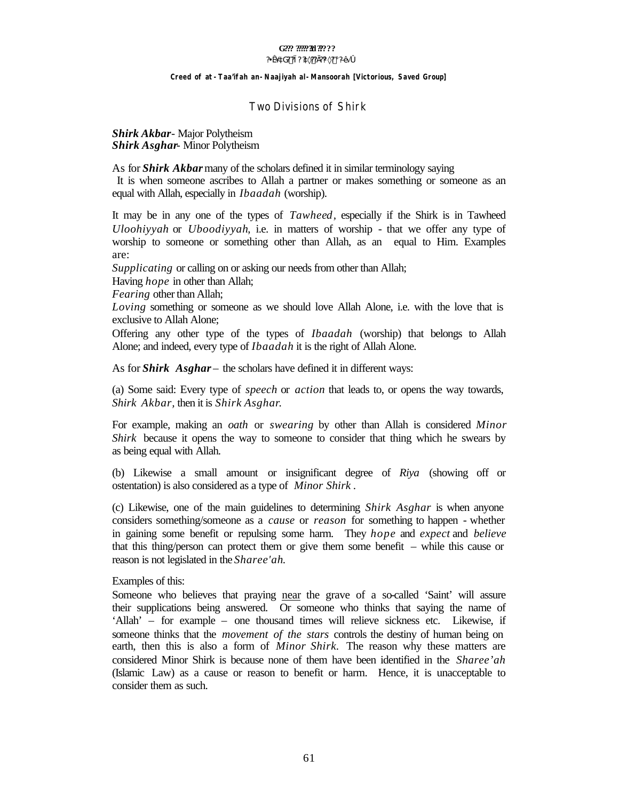# G??? ?????**?!** ??????

#### **?¥æ´àG? ?ì? ?à×??Ì??¼×? ¡ ?ЕÃ ó**

#### **Creed of** *at-Taa'ifah an-Naajiyah al-Mansoorah* **[Victorious, Saved Group]**

#### Two Divisions of Shirk

#### *Shirk Akbar*- Major Polytheism *Shirk Asghar*- Minor Polytheism

As for *Shirk Akbar* many of the scholars defined it in similar terminology saying It is when someone ascribes to Allah a partner or makes something or someone as an equal with Allah, especially in *Ibaadah* (worship).

It may be in any one of the types of *Tawheed,* especially if the Shirk is in Tawheed *Uloohiyyah* or *Uboodiyyah*, i.e. in matters of worship - that we offer any type of worship to someone or something other than Allah, as an equal to Him. Examples are:

*Supplicating* or calling on or asking our needs from other than Allah;

Having *hope* in other than Allah;

*Fearing* other than Allah;

*Loving* something or someone as we should love Allah Alone, i.e. with the love that is exclusive to Allah Alone;

Offering any other type of the types of *Ibaadah* (worship) that belongs to Allah Alone; and indeed, every type of *Ibaadah* it is the right of Allah Alone.

As for *Shirk Asghar* – the scholars have defined it in different ways:

(a) Some said: Every type of *speech* or *action* that leads to, or opens the way towards, *Shirk Akbar,* then it is *Shirk Asghar*.

For example, making an *oath* or *swearing* by other than Allah is considered *Minor Shirk* because it opens the way to someone to consider that thing which he swears by as being equal with Allah.

(b) Likewise a small amount or insignificant degree of *Riya* (showing off or ostentation) is also considered as a type of *Minor Shirk* .

(c) Likewise, one of the main guidelines to determining *Shirk Asghar* is when anyone considers something/someone as a *cause* or *reason* for something to happen - whether in gaining some benefit or repulsing some harm. They *hope* and *expect* and *believe* that this thing/person can protect them or give them some benefit – while this cause or reason is not legislated in the *Sharee'ah*.

Examples of this:

Someone who believes that praying near the grave of a so-called 'Saint' will assure their supplications being answered. Or someone who thinks that saying the name of 'Allah' – for example – one thousand times will relieve sickness etc. Likewise, if someone thinks that the *movement of the stars* controls the destiny of human being on earth, then this is also a form of *Minor Shirk.* The reason why these matters are considered Minor Shirk is because none of them have been identified in the *Sharee'ah* (Islamic Law) as a cause or reason to benefit or harm. Hence, it is unacceptable to consider them as such.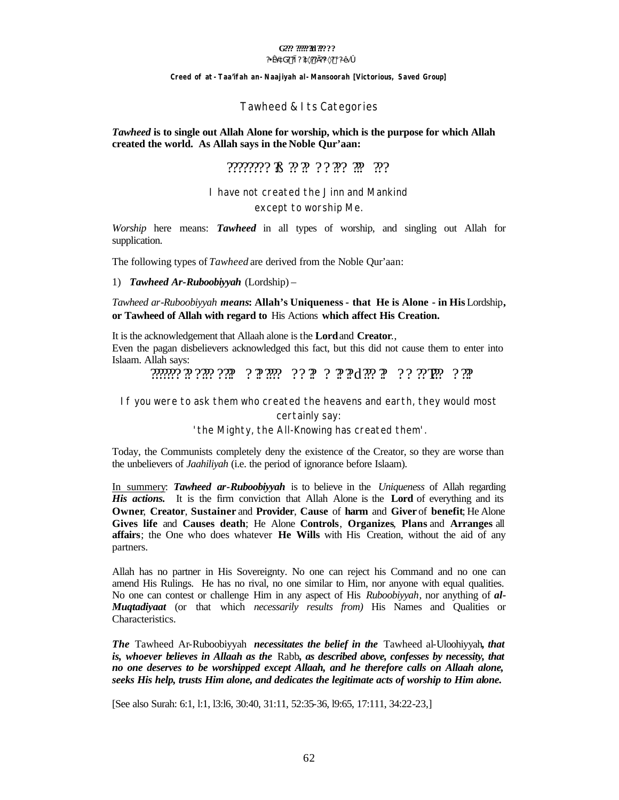# G222 2002220 222 22

#### ?\#@ ^aG? ?i ? ?a×??]??\4×? ; ?D+ 4 O

#### Creed of at - Taa'ifah an - Naajiyah al - Mansoorah [Victorious, Saved Group]

#### Tawheed & I ts Categories

#### Tawheed is to single out Allah Alone for worship, which is the purpose for which Allah created the world. As Allah says in the Noble Qur'aan:

# mmng R n n n n n n n

#### I have not created the Jinn and Mankind except to worship Me.

Worship here means: **Tawheed** in all types of worship, and singling out Allah for supplication.

The following types of Tawheed are derived from the Noble Qur'aan:

#### 1) Tawheed Ar-Ruboobiyyah (Lordship) -

Tawheed ar-Ruboobiyyah means: Allah's Uniqueness - that He is Alone - in His Lordship, or Tawheed of Allah with regard to His Actions which affect His Creation.

It is the acknowledgement that Allaah alone is the **Lord** and **Creator.**, Even the pagan disbelievers acknowledged this fact, but this did not cause them to enter into Islaam. Allah says:

וַ*וֹרִירְ וַחֲדְרָרִיךְ וַיְּחִיְחַתָּ* יִּחְיִרָּ וְרִחְיָתֵּיךָ וְרִחְיֹחָתָיךָ *הַיְרְחַתָּיִ* 

If you were to ask them who created the heavens and earth, they would most

certainly say:

'the Mighty, the All-Knowing has created them'.

Today, the Communists completely deny the existence of the Creator, so they are worse than the unbelievers of *Jaahiliyah* (i.e. the period of ignorance before Islaam).

In summery: Tawheed ar-Ruboobiyyah is to believe in the Uniqueness of Allah regarding *His actions.* It is the firm conviction that Allah Alone is the **Lord** of everything and its Owner, Creator, Sustainer and Provider, Cause of harm and Giver of benefit; He Alone Gives life and Causes death; He Alone Controls, Organizes, Plans and Arranges all affairs; the One who does whatever He Wills with His Creation, without the aid of any partners.

Allah has no partner in His Sovereignty. No one can reject his Command and no one can amend His Rulings. He has no rival, no one similar to Him, nor anyone with equal qualities. No one can contest or challenge Him in any aspect of His Ruboobiyyah, nor anything of al-**Mugtadiyaat** (or that which necessarily results from) His Names and Qualities or Characteristics.

The Tawheed Ar-Ruboobiyyah necessitates the belief in the Tawheed al-Uloohiyyah, that is, whoever believes in Allaah as the Rabb, as described above, confesses by necessity, that no one deserves to be worshipped except Allaah, and he therefore calls on Allaah alone, seeks His help, trusts Him alone, and dedicates the legitimate acts of worship to Him alone.

[See also Surah: 6:1, 1:1, 13:16, 30:40, 31:11, 52:35-36, 19:65, 17:111, 34:22-23,]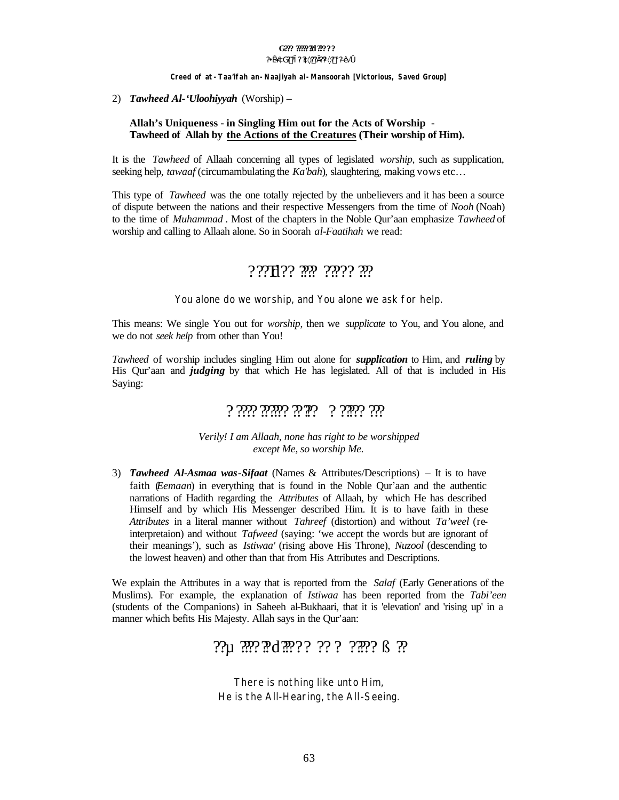#### G222 2002220 222 22 ?\#@ ^aG? ?i? ?ax??]?%x? ; ?D+ i O

#### Creed of at - Taa'ifah an - Naajiyah al - Mansoorah [Victorious, Saved Group]

2) Tawheed Al-'Uloohiyyah (Worship) –

#### Allah's Uniqueness - in Singling Him out for the Acts of Worship -Tawheed of Allah by the Actions of the Creatures (Their worship of Him).

It is the *Tawheed* of Allaah concerning all types of legislated *worship*, such as supplication, seeking help, *tawaaf* (circumambulating the *Ka'bah*), slaughtering, making vows etc...

This type of *Tawheed* was the one totally rejected by the unbelievers and it has been a source of dispute between the nations and their respective Messengers from the time of *Nooh* (Noah) to the time of *Muhammad*. Most of the chapters in the Noble Qur'aan emphasize *Tawheed* of worship and calling to Allaah alone. So in Soorah *al-Faatihah* we read:

# ???H?? ??? ???? ???

You alone do we worship, and You alone we ask for help.

This means: We single You out for *worship*, then we *supplicate* to You, and You alone, and we do not *seek help* from other than You!

*Tawheed* of worship includes singling Him out alone for *supplication* to Him, and *ruling* by His Qur'aan and *judging* by that which He has legislated. All of that is included in His Saying:

# יָוֹרְ וְיִוֹחֵיִ יִ יְחֵיּוֹיָ וְיְוֹחֵי וְיִוֹיָ וְי

Verily! I am Allaah, none has right to be worshipped except Me, so worship Me.

3) Tawheed Al-Asmaa was-Sifaat (Names & Attributes/Descriptions) – It is to have faith *(Eemaan)* in everything that is found in the Noble Qur'aan and the authentic narrations of Hadith regarding the *Attributes* of Allaah, by which He has described Himself and by which His Messenger described Him. It is to have faith in these Attributes in a literal manner without Tahreef (distortion) and without Ta'weel (reinterpretaion) and without *Tafweed* (saying: 'we accept the words but are ignorant of their meanings'), such as *Istiwaa'* (rising above His Throne), *Nuzool* (descending to the lowest heaven) and other than that from His Attributes and Descriptions.

We explain the Attributes in a way that is reported from the Salaf (Early Generations of the Muslims). For example, the explanation of *Istiwaa* has been reported from the *Tabi'een* (students of the Companions) in Saheeh al-Bukhaari, that it is 'elevation' and 'rising up' in a manner which befits His Majesty. Allah says in the Qur'aan:

There is nothing like unto Him, He is the All-Hearing, the All-Seeing.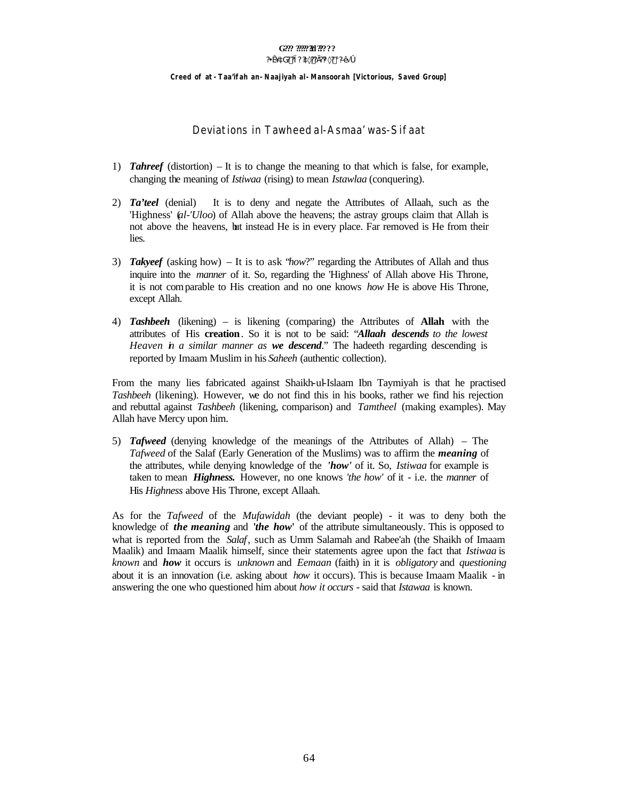#### G222 2002220 222 22 ?\#@ ^aG? ?i? ?ax??]?%x? ; ?D+ i O

Creed of at - Taa'ifah an - Naajiyah al - Mansoorah [Victorious, Saved Group]

Deviations in Tawheed al-Asmaa' was-Sifaat

- 1) **Tahreef** (distortion)  $-$  It is to change the meaning to that which is false, for example, changing the meaning of *Istiwaa* (rising) to mean *Istawlaa* (conquering).
- It is to deny and negate the Attributes of Allaah, such as the 2)  $Ta'teel$  (denial) 'Highness'  $(l-l'Uloo)$  of Allah above the heavens; the astray groups claim that Allah is not above the heavens, but instead He is in every place. Far removed is He from their lies.
- 3) Takyeef (asking how) It is to ask "how?" regarding the Attributes of Allah and thus inquire into the *manner* of it. So, regarding the 'Highness' of Allah above His Throne. it is not comparable to His creation and no one knows how He is above His Throne, except Allah.
- 4) Tashbeeh (likening) is likening (comparing) the Attributes of Allah with the attributes of His creation. So it is not to be said: "Allaah descends to the lowest Heaven in a similar manner as we descend." The hadeeth regarding descending is reported by Imaam Muslim in his Saheeh (authentic collection).

From the many lies fabricated against Shaikh-ul-Islaam Ibn Taymiyah is that he practised *Tashbeeh* (likening). However, we do not find this in his books, rather we find his rejection and rebuttal against *Tashbeeh* (likening, comparison) and *Tamtheel* (making examples). May Allah have Mercy upon him.

5) **Tafweed** (denying knowledge of the meanings of the Attributes of Allah) – The Tafweed of the Salaf (Early Generation of the Muslims) was to affirm the *meaning* of the attributes, while denying knowledge of the 'how' of it. So, *Istiwaa* for example is taken to mean *Highness*. However, no one knows 'the how' of it - i.e. the manner of His Highness above His Throne, except Allaah.

As for the *Tafweed* of the *Mufawidah* (the deviant people) - it was to deny both the knowledge of *the meaning* and *'the how'* of the attribute simultaneously. This is opposed to what is reported from the Salaf, such as Umm Salamah and Rabee'ah (the Shaikh of Imaam Maalik) and Imaam Maalik himself, since their statements agree upon the fact that *Istiwaa* is known and **how** it occurs is *unknown* and *Eemaan* (faith) in it is *obligatory* and *questioning* about it is an innovation (i.e. asking about *how* it occurs). This is because Imaam Maalik - in answering the one who questioned him about *how it occurs* - said that *Istawaa* is known.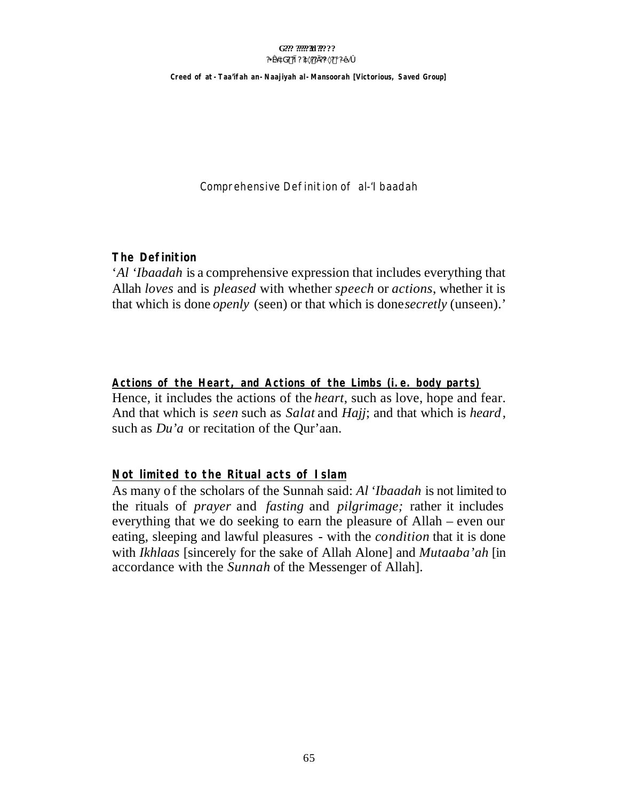#### G??? ????? 31 ????? ?\#@ ^aG? ?i ? ?a×??]??\4×? ; ?D+ 4 O

Creed of at - Taa'ifah an - Naajiyah al - Mansoorah [Victorious, Saved Group]

Comprehensive Definition of al-'I baadah

# **The Definition**

'Al 'Ibaadah is a comprehensive expression that includes everything that Allah loves and is *pleased* with whether *speech* or *actions*, whether it is that which is done *openly* (seen) or that which is done *secretly* (unseen).'

# Actions of the Heart, and Actions of the Limbs (i.e. body parts)

Hence, it includes the actions of the *heart*, such as love, hope and fear. And that which is *seen* such as *Salat* and *Hajj*; and that which is *heard*, such as *Du'a* or recitation of the Qur'aan.

# Not limited to the Ritual acts of Islam

As many of the scholars of the Sunnah said: Al 'Ibaadah is not limited to the rituals of *prayer* and *fasting* and *pilgrimage*; rather it includes everything that we do seeking to earn the pleasure of Allah – even our eating, sleeping and lawful pleasures - with the *condition* that it is done with *Ikhlaas* [sincerely for the sake of Allah Alone] and *Mutaaba'ah* [in accordance with the Sunnah of the Messenger of Allah].